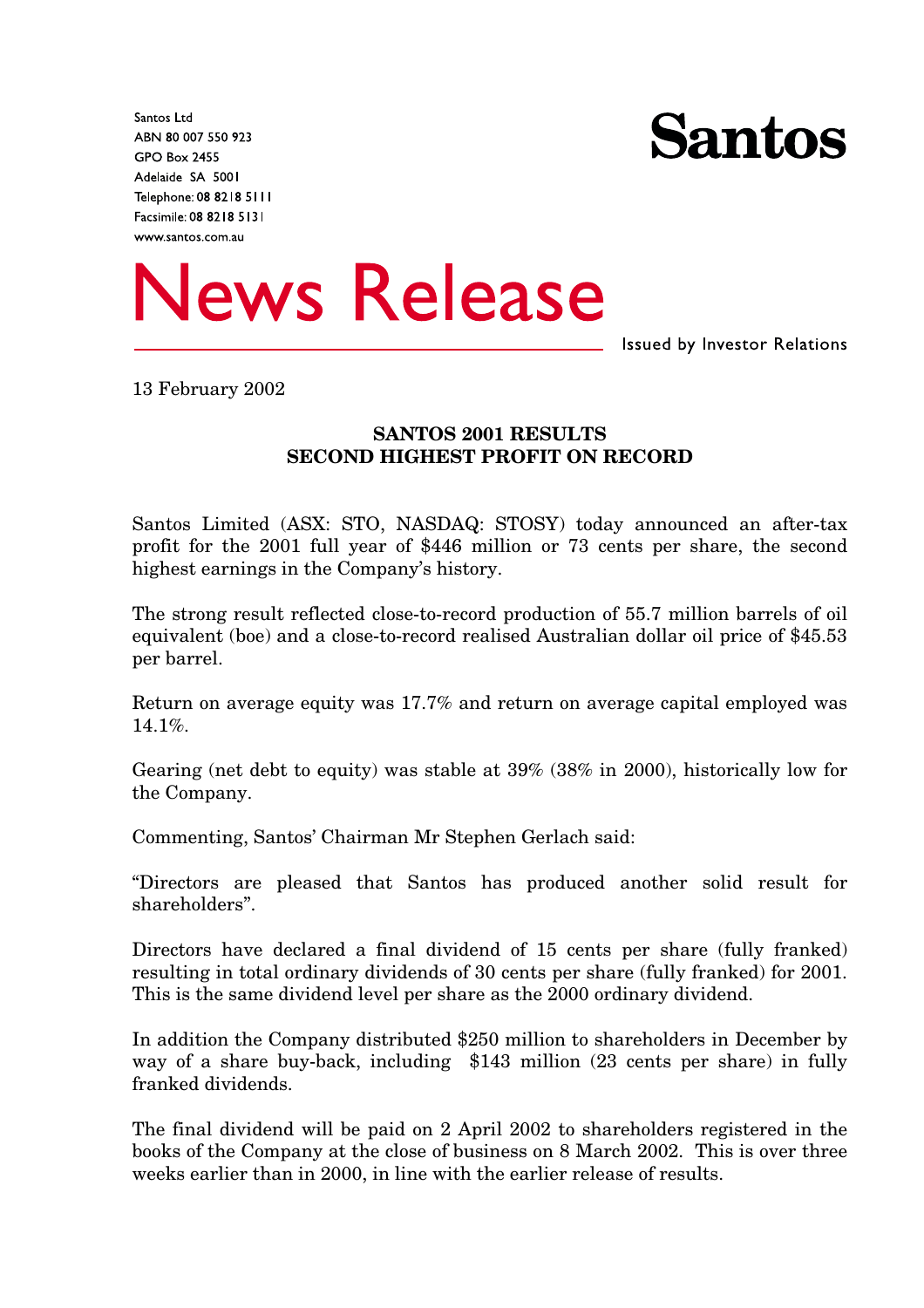Santos Ltd ABN 80 007 550 923 **GPO Box 2455** Adelaide SA 5001 Telephone: 08 8218 5111 Facsimile: 08 8218 5131 www.santos.com.au





**Issued by Investor Relations** 

13 February 2002

### **SANTOS 2001 RESULTS SECOND HIGHEST PROFIT ON RECORD**

Santos Limited (ASX: STO, NASDAQ: STOSY) today announced an after-tax profit for the 2001 full year of \$446 million or 73 cents per share, the second highest earnings in the Company's history.

The strong result reflected close-to-record production of 55.7 million barrels of oil equivalent (boe) and a close-to-record realised Australian dollar oil price of \$45.53 per barrel.

Return on average equity was 17.7% and return on average capital employed was 14.1%.

Gearing (net debt to equity) was stable at 39% (38% in 2000), historically low for the Company.

Commenting, Santos' Chairman Mr Stephen Gerlach said:

"Directors are pleased that Santos has produced another solid result for shareholders".

Directors have declared a final dividend of 15 cents per share (fully franked) resulting in total ordinary dividends of 30 cents per share (fully franked) for 2001. This is the same dividend level per share as the 2000 ordinary dividend.

In addition the Company distributed \$250 million to shareholders in December by way of a share buy-back, including \$143 million (23 cents per share) in fully franked dividends.

The final dividend will be paid on 2 April 2002 to shareholders registered in the books of the Company at the close of business on 8 March 2002. This is over three weeks earlier than in 2000, in line with the earlier release of results.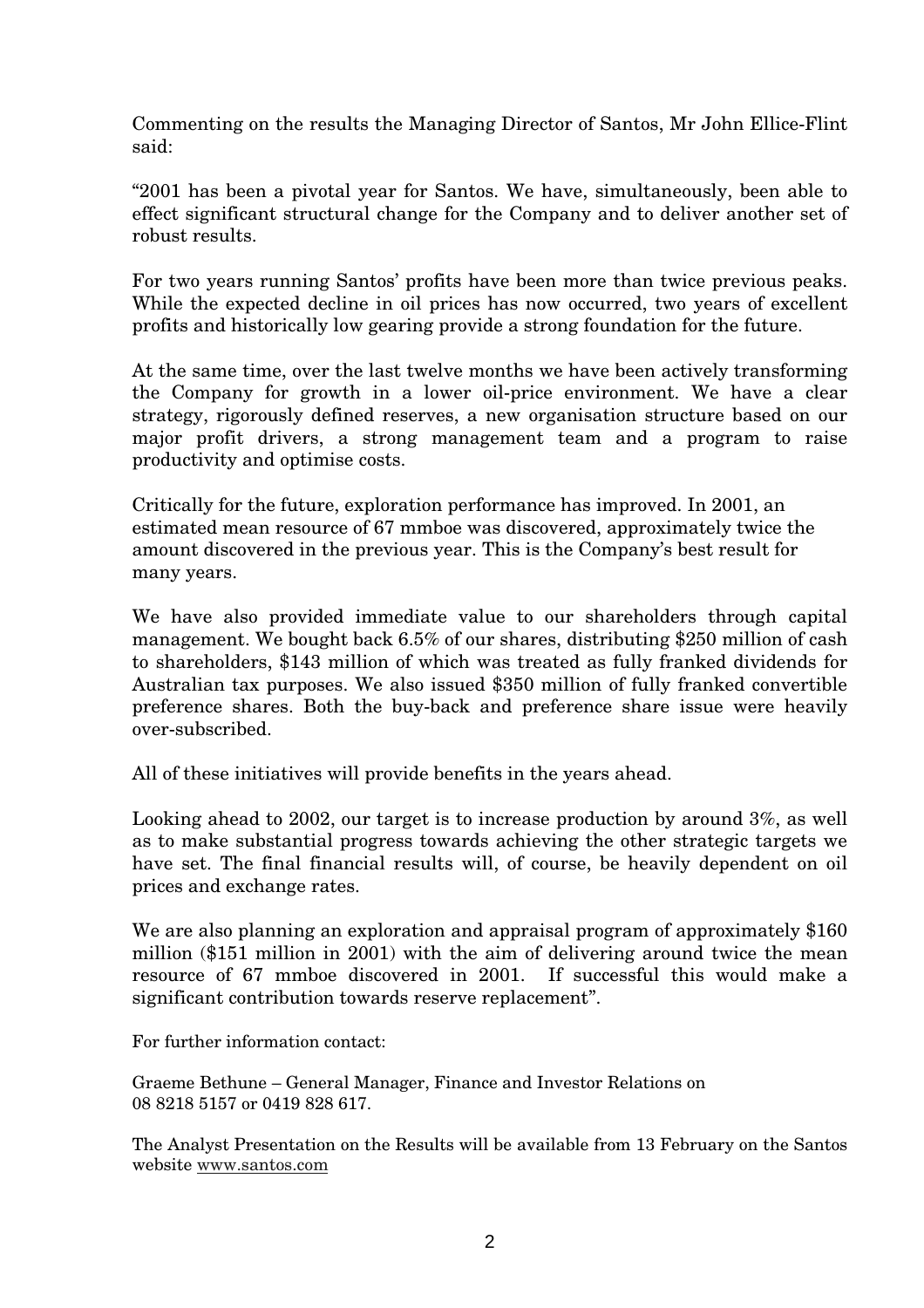Commenting on the results the Managing Director of Santos, Mr John Ellice-Flint said:

"2001 has been a pivotal year for Santos. We have, simultaneously, been able to effect significant structural change for the Company and to deliver another set of robust results.

For two years running Santos' profits have been more than twice previous peaks. While the expected decline in oil prices has now occurred, two years of excellent profits and historically low gearing provide a strong foundation for the future.

At the same time, over the last twelve months we have been actively transforming the Company for growth in a lower oil-price environment. We have a clear strategy, rigorously defined reserves, a new organisation structure based on our major profit drivers, a strong management team and a program to raise productivity and optimise costs.

Critically for the future, exploration performance has improved. In 2001, an estimated mean resource of 67 mmboe was discovered, approximately twice the amount discovered in the previous year. This is the Company's best result for many years.

We have also provided immediate value to our shareholders through capital management. We bought back 6.5% of our shares, distributing \$250 million of cash to shareholders, \$143 million of which was treated as fully franked dividends for Australian tax purposes. We also issued \$350 million of fully franked convertible preference shares. Both the buy-back and preference share issue were heavily over-subscribed.

All of these initiatives will provide benefits in the years ahead.

Looking ahead to 2002, our target is to increase production by around 3%, as well as to make substantial progress towards achieving the other strategic targets we have set. The final financial results will, of course, be heavily dependent on oil prices and exchange rates.

We are also planning an exploration and appraisal program of approximately \$160 million (\$151 million in 2001) with the aim of delivering around twice the mean resource of 67 mmboe discovered in 2001. If successful this would make a significant contribution towards reserve replacement".

For further information contact:

Graeme Bethune – General Manager, Finance and Investor Relations on 08 8218 5157 or 0419 828 617.

The Analyst Presentation on the Results will be available from 13 February on the Santos website www.santos.com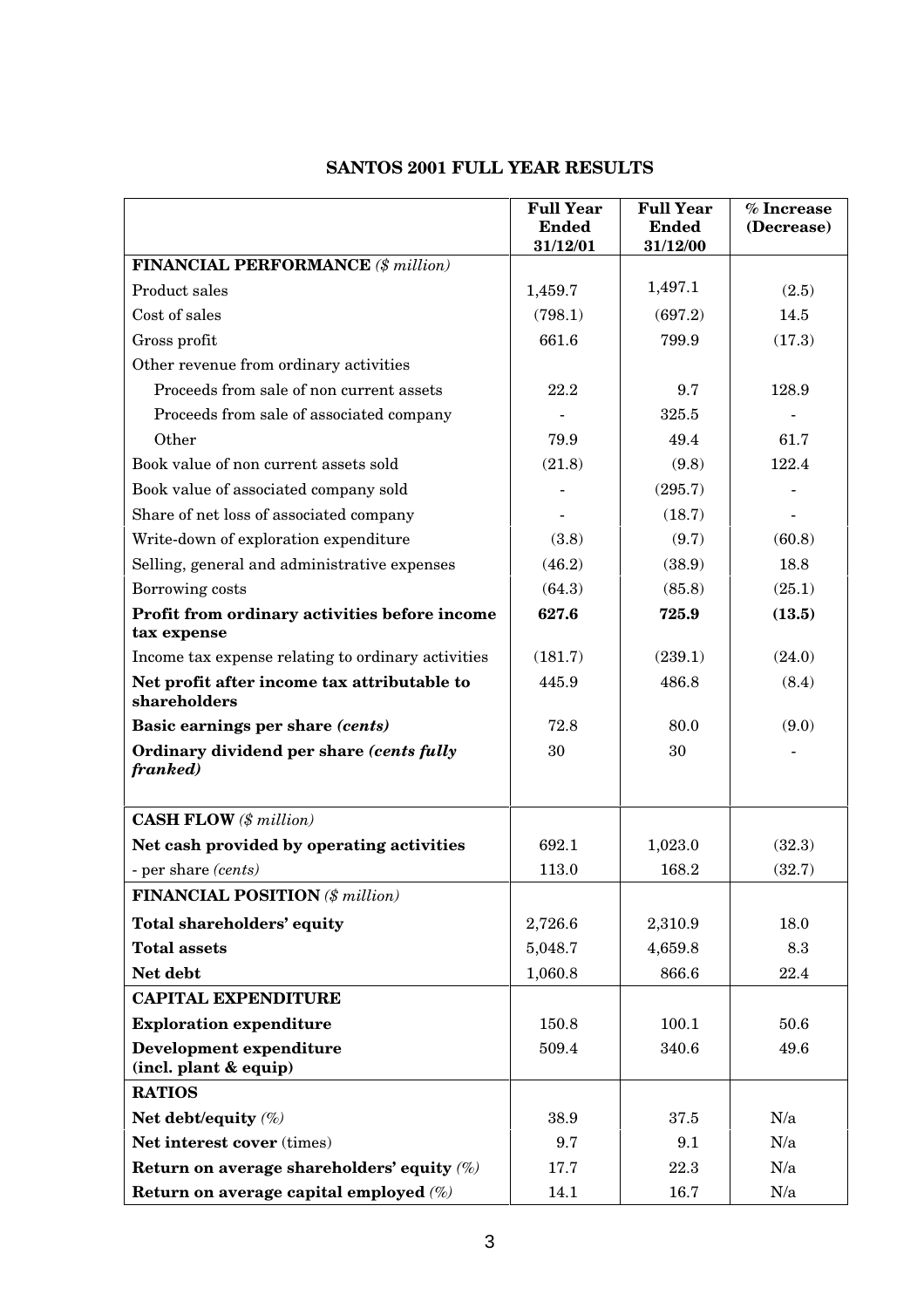## **SANTOS 2001 FULL YEAR RESULTS**

|                                                              | <b>Full Year</b>         | <b>Full Year</b>         | % Increase |
|--------------------------------------------------------------|--------------------------|--------------------------|------------|
|                                                              | <b>Ended</b><br>31/12/01 | <b>Ended</b><br>31/12/00 | (Decrease) |
| <b>FINANCIAL PERFORMANCE</b> (\$ million)                    |                          |                          |            |
| Product sales                                                | 1,459.7                  | 1,497.1                  | (2.5)      |
| Cost of sales                                                | (798.1)                  | (697.2)                  | 14.5       |
| Gross profit                                                 | 661.6                    | 799.9                    | (17.3)     |
| Other revenue from ordinary activities                       |                          |                          |            |
| Proceeds from sale of non current assets                     | 22.2                     | 9.7                      | 128.9      |
| Proceeds from sale of associated company                     |                          | 325.5                    |            |
| Other                                                        | 79.9                     | 49.4                     | 61.7       |
| Book value of non current assets sold                        | (21.8)                   | (9.8)                    | 122.4      |
| Book value of associated company sold                        |                          | (295.7)                  |            |
| Share of net loss of associated company                      |                          | (18.7)                   |            |
| Write-down of exploration expenditure                        | (3.8)                    | (9.7)                    | (60.8)     |
| Selling, general and administrative expenses                 | (46.2)                   | (38.9)                   | 18.8       |
| Borrowing costs                                              | (64.3)                   | (85.8)                   | (25.1)     |
| Profit from ordinary activities before income<br>tax expense | 627.6                    | 725.9                    | (13.5)     |
| Income tax expense relating to ordinary activities           | (181.7)                  | (239.1)                  | (24.0)     |
| Net profit after income tax attributable to<br>shareholders  | 445.9                    | 486.8                    | (8.4)      |
| Basic earnings per share (cents)                             | 72.8                     | 80.0                     | (9.0)      |
| Ordinary dividend per share (cents fully<br>franked)         | 30                       | 30                       |            |
| <b>CASH FLOW</b> (\$ million)                                |                          |                          |            |
| Net cash provided by operating activities                    | 692.1                    | 1,023.0                  | (32.3)     |
| - per share (cents)                                          | 113.0                    | 168.2                    | (32.7)     |
| <b>FINANCIAL POSITION</b> (\$ million)                       |                          |                          |            |
| Total shareholders' equity                                   | 2,726.6                  | 2,310.9                  | 18.0       |
| <b>Total assets</b>                                          | 5,048.7                  | 4,659.8                  | 8.3        |
| Net debt                                                     | 1,060.8                  | 866.6                    | 22.4       |
| <b>CAPITAL EXPENDITURE</b>                                   |                          |                          |            |
| <b>Exploration expenditure</b>                               | 150.8                    | 100.1                    | 50.6       |
| <b>Development expenditure</b><br>(incl. plant & equip)      | 509.4                    | 340.6                    | 49.6       |
| <b>RATIOS</b>                                                |                          |                          |            |
| Net debt/equity (%)                                          | 38.9                     | 37.5                     | N/a        |
| Net interest cover (times)                                   | 9.7                      | 9.1                      | N/a        |
| Return on average shareholders' equity $(\%)$                | 17.7                     | 22.3                     | N/a        |
| Return on average capital employed (%)                       | 14.1                     | 16.7                     | N/a        |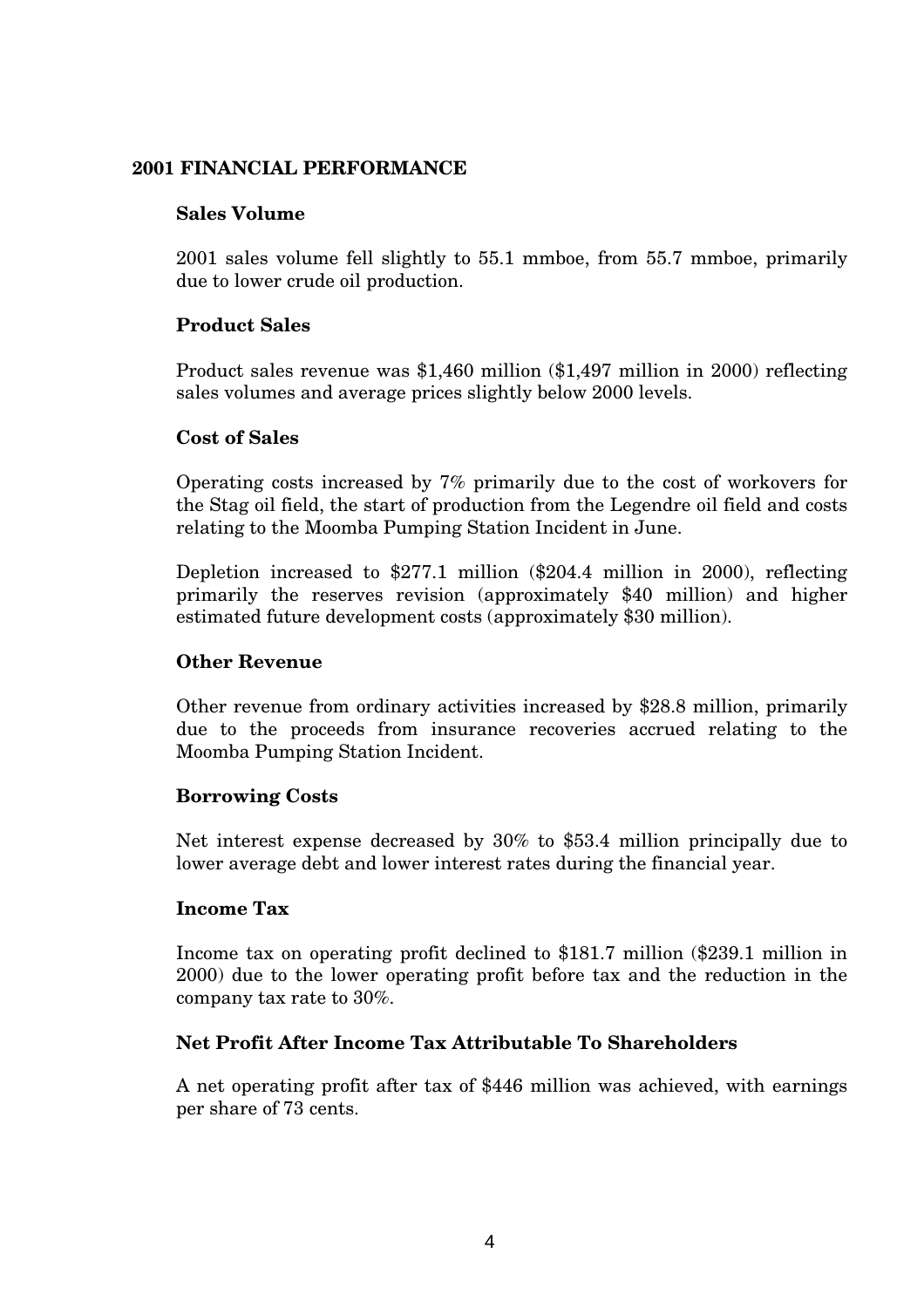### **2001 FINANCIAL PERFORMANCE**

### **Sales Volume**

2001 sales volume fell slightly to 55.1 mmboe, from 55.7 mmboe, primarily due to lower crude oil production.

### **Product Sales**

Product sales revenue was \$1,460 million (\$1,497 million in 2000) reflecting sales volumes and average prices slightly below 2000 levels.

### **Cost of Sales**

Operating costs increased by 7% primarily due to the cost of workovers for the Stag oil field, the start of production from the Legendre oil field and costs relating to the Moomba Pumping Station Incident in June.

Depletion increased to \$277.1 million (\$204.4 million in 2000), reflecting primarily the reserves revision (approximately \$40 million) and higher estimated future development costs (approximately \$30 million).

### **Other Revenue**

Other revenue from ordinary activities increased by \$28.8 million, primarily due to the proceeds from insurance recoveries accrued relating to the Moomba Pumping Station Incident.

### **Borrowing Costs**

Net interest expense decreased by 30% to \$53.4 million principally due to lower average debt and lower interest rates during the financial year.

### **Income Tax**

Income tax on operating profit declined to \$181.7 million (\$239.1 million in 2000) due to the lower operating profit before tax and the reduction in the company tax rate to 30%.

### **Net Profit After Income Tax Attributable To Shareholders**

A net operating profit after tax of \$446 million was achieved, with earnings per share of 73 cents.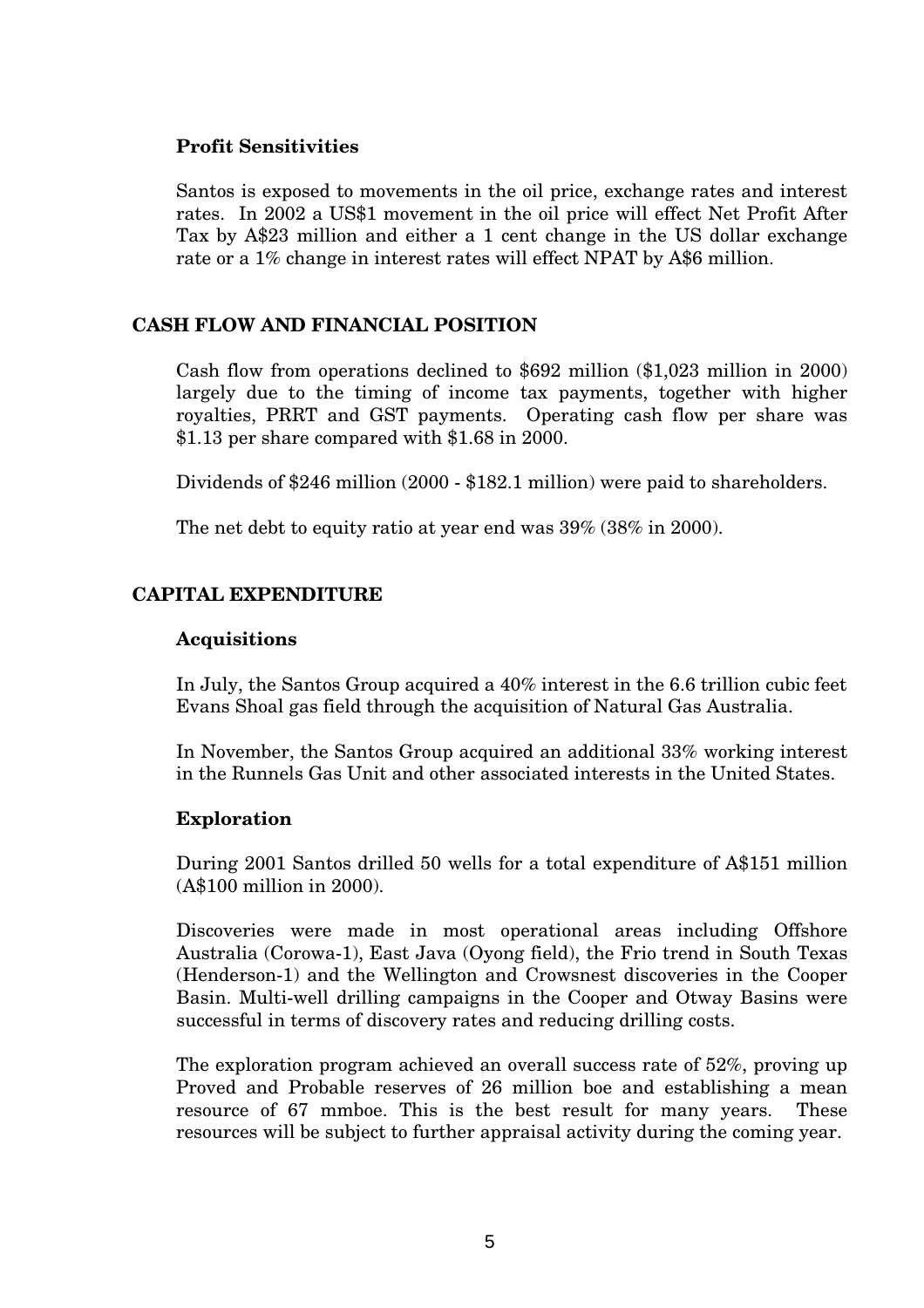### **Profit Sensitivities**

Santos is exposed to movements in the oil price, exchange rates and interest rates. In 2002 a US\$1 movement in the oil price will effect Net Profit After Tax by A\$23 million and either a 1 cent change in the US dollar exchange rate or a 1% change in interest rates will effect NPAT by A\$6 million.

### **CASH FLOW AND FINANCIAL POSITION**

Cash flow from operations declined to \$692 million (\$1,023 million in 2000) largely due to the timing of income tax payments, together with higher royalties, PRRT and GST payments. Operating cash flow per share was \$1.13 per share compared with \$1.68 in 2000.

Dividends of \$246 million (2000 - \$182.1 million) were paid to shareholders.

The net debt to equity ratio at year end was 39% (38% in 2000).

### **CAPITAL EXPENDITURE**

#### **Acquisitions**

In July, the Santos Group acquired a 40% interest in the 6.6 trillion cubic feet Evans Shoal gas field through the acquisition of Natural Gas Australia.

In November, the Santos Group acquired an additional 33% working interest in the Runnels Gas Unit and other associated interests in the United States.

### **Exploration**

During 2001 Santos drilled 50 wells for a total expenditure of A\$151 million (A\$100 million in 2000).

Discoveries were made in most operational areas including Offshore Australia (Corowa-1), East Java (Oyong field), the Frio trend in South Texas (Henderson-1) and the Wellington and Crowsnest discoveries in the Cooper Basin. Multi-well drilling campaigns in the Cooper and Otway Basins were successful in terms of discovery rates and reducing drilling costs.

The exploration program achieved an overall success rate of 52%, proving up Proved and Probable reserves of 26 million boe and establishing a mean resource of 67 mmboe. This is the best result for many years. These resources will be subject to further appraisal activity during the coming year.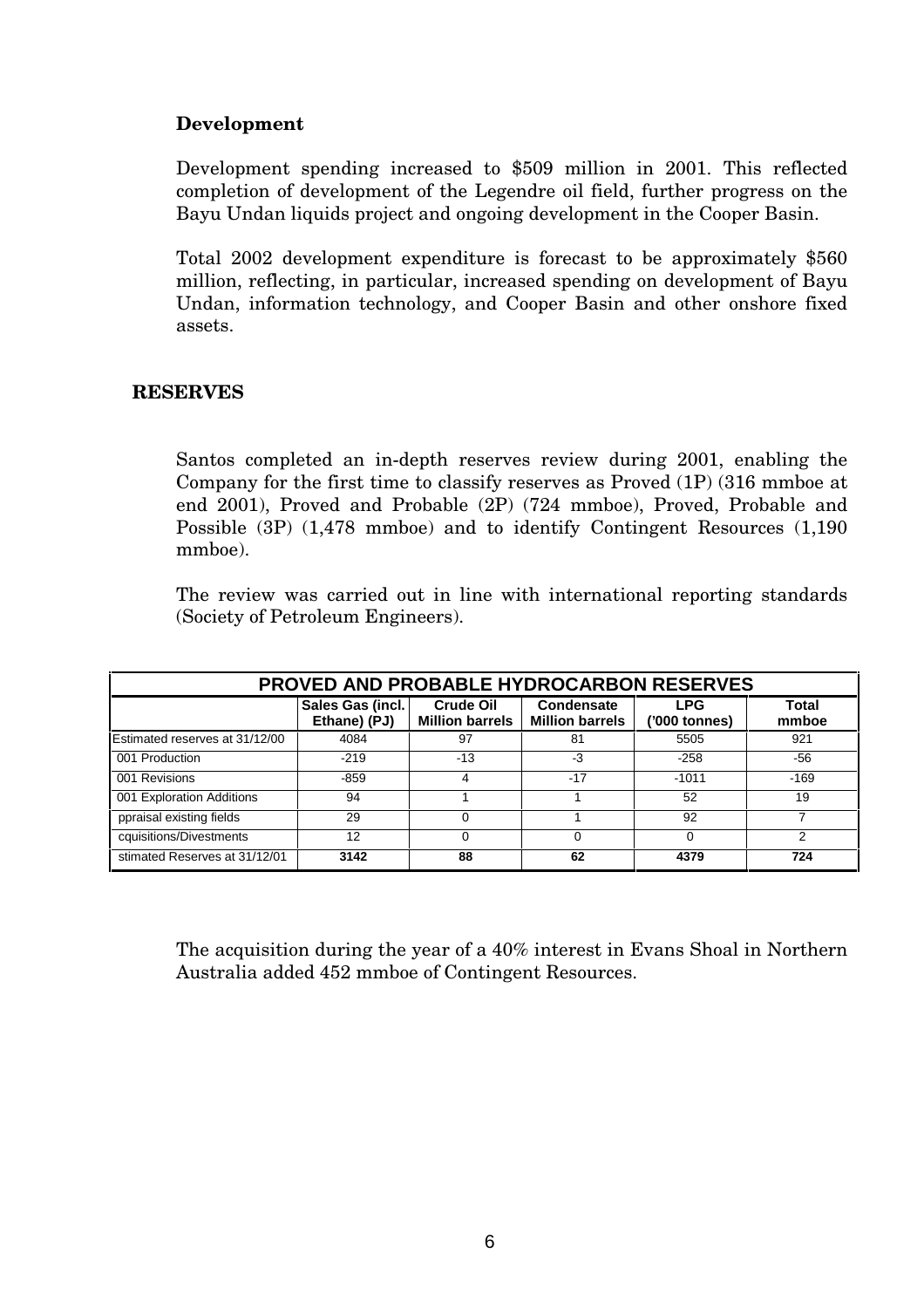### **Development**

Development spending increased to \$509 million in 2001. This reflected completion of development of the Legendre oil field, further progress on the Bayu Undan liquids project and ongoing development in the Cooper Basin.

Total 2002 development expenditure is forecast to be approximately \$560 million, reflecting, in particular, increased spending on development of Bayu Undan, information technology, and Cooper Basin and other onshore fixed assets.

### **RESERVES**

Santos completed an in-depth reserves review during 2001, enabling the Company for the first time to classify reserves as Proved (1P) (316 mmboe at end 2001), Proved and Probable (2P) (724 mmboe), Proved, Probable and Possible (3P) (1,478 mmboe) and to identify Contingent Resources (1,190 mmboe).

The review was carried out in line with international reporting standards (Society of Petroleum Engineers).

| <b>PROVED AND PROBABLE HYDROCARBON RESERVES</b>                                                                                                                         |        |       |       |          |        |  |  |
|-------------------------------------------------------------------------------------------------------------------------------------------------------------------------|--------|-------|-------|----------|--------|--|--|
| Sales Gas (incl.<br><b>Crude Oil</b><br>Condensate<br><b>LPG</b><br>Total<br>Ethane) (PJ)<br><b>Million barrels</b><br><b>Million barrels</b><br>('000 tonnes)<br>mmboe |        |       |       |          |        |  |  |
| Estimated reserves at 31/12/00                                                                                                                                          | 4084   | 97    | -81   | 5505     | 921    |  |  |
| 001 Production                                                                                                                                                          | $-219$ | $-13$ | -3    | $-258$   | -56    |  |  |
| 001 Revisions                                                                                                                                                           | $-859$ | 4     | $-17$ | $-1011$  | $-169$ |  |  |
| 001 Exploration Additions                                                                                                                                               | 94     |       |       | 52       | 19     |  |  |
| ppraisal existing fields                                                                                                                                                | 29     |       |       | 92       |        |  |  |
| cquisitions/Divestments                                                                                                                                                 | 12     | ი     | 0     | $\Omega$ | 2      |  |  |
| stimated Reserves at 31/12/01                                                                                                                                           | 3142   | 88    | 62    | 4379     | 724    |  |  |

The acquisition during the year of a 40% interest in Evans Shoal in Northern Australia added 452 mmboe of Contingent Resources.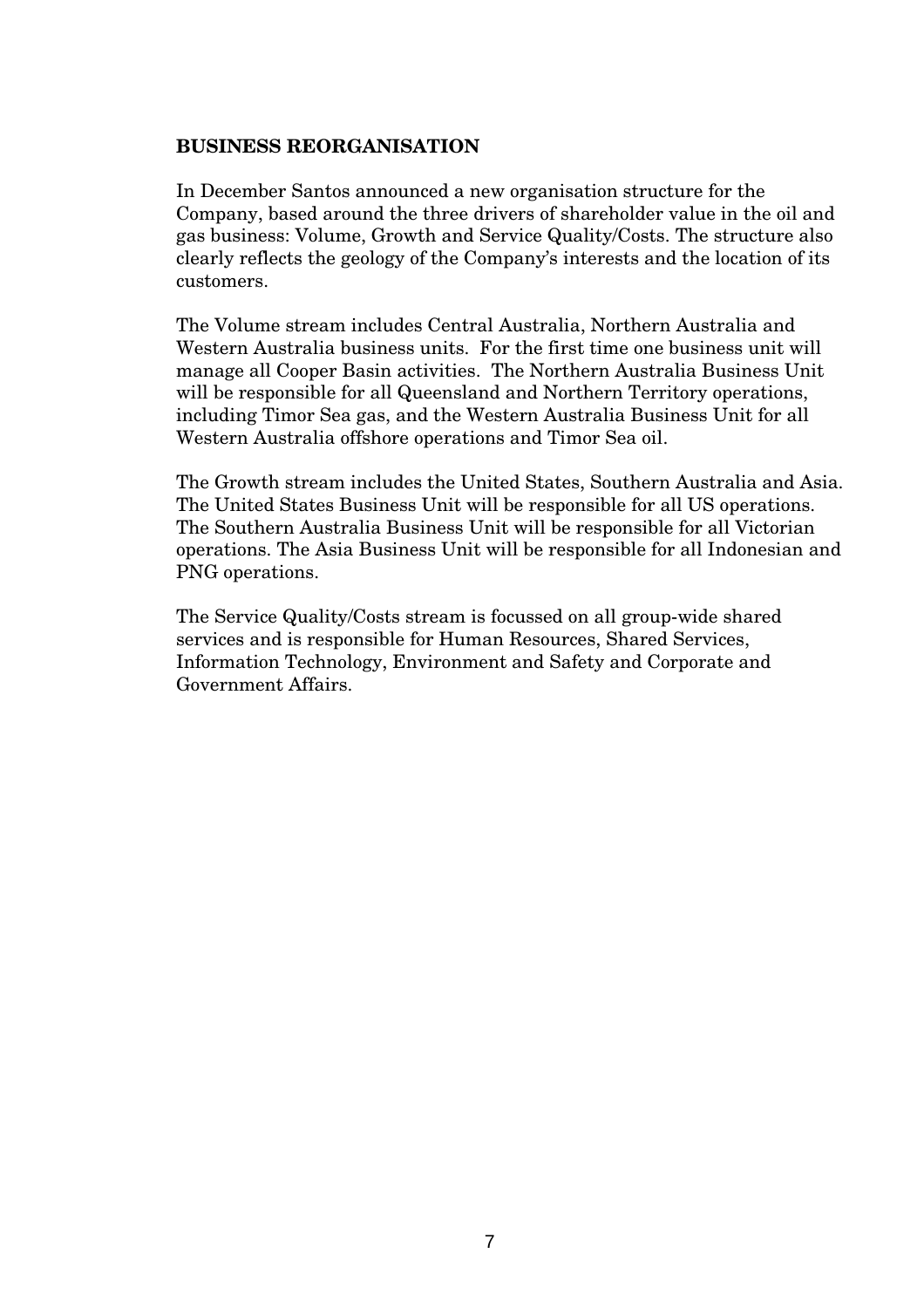### **BUSINESS REORGANISATION**

In December Santos announced a new organisation structure for the Company, based around the three drivers of shareholder value in the oil and gas business: Volume, Growth and Service Quality/Costs. The structure also clearly reflects the geology of the Company's interests and the location of its customers.

The Volume stream includes Central Australia, Northern Australia and Western Australia business units. For the first time one business unit will manage all Cooper Basin activities. The Northern Australia Business Unit will be responsible for all Queensland and Northern Territory operations, including Timor Sea gas, and the Western Australia Business Unit for all Western Australia offshore operations and Timor Sea oil.

The Growth stream includes the United States, Southern Australia and Asia. The United States Business Unit will be responsible for all US operations. The Southern Australia Business Unit will be responsible for all Victorian operations. The Asia Business Unit will be responsible for all Indonesian and PNG operations.

The Service Quality/Costs stream is focussed on all group-wide shared services and is responsible for Human Resources, Shared Services, Information Technology, Environment and Safety and Corporate and Government Affairs.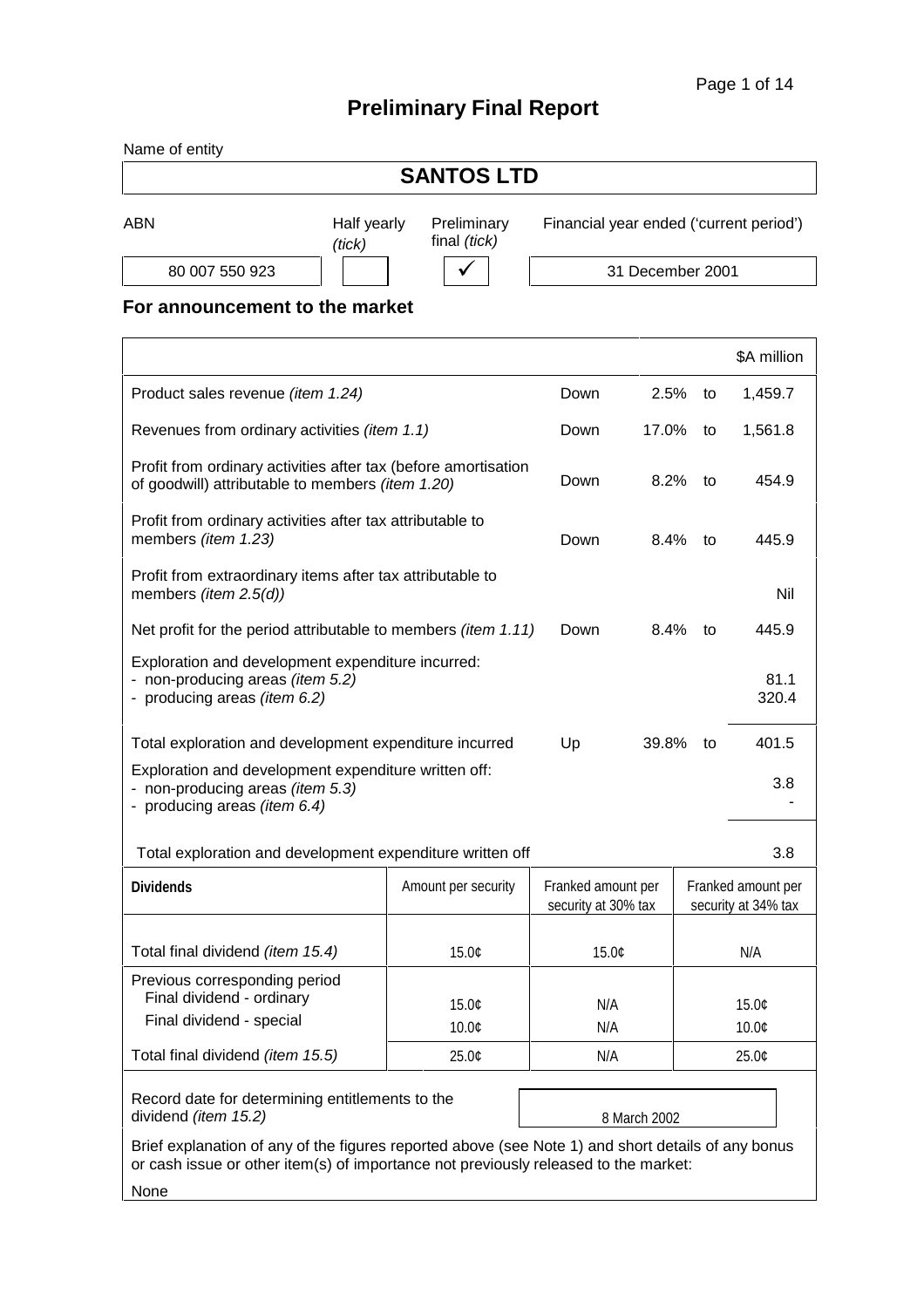# **Preliminary Final Report**

| Name of entity |                       |                             |                                         |
|----------------|-----------------------|-----------------------------|-----------------------------------------|
|                |                       | <b>SANTOS LTD</b>           |                                         |
| <b>ABN</b>     | Half yearly<br>(tick) | Preliminary<br>final (tick) | Financial year ended ('current period') |

80 007 550 923 | | | | | | | | 31 December 2001

**For announcement to the market**

|                                                                                                                                                                                           |                     |                                           |              |    | \$A million                               |
|-------------------------------------------------------------------------------------------------------------------------------------------------------------------------------------------|---------------------|-------------------------------------------|--------------|----|-------------------------------------------|
| Product sales revenue (item 1.24)                                                                                                                                                         |                     | Down                                      | 2.5%         | to | 1,459.7                                   |
| Revenues from ordinary activities (item 1.1)                                                                                                                                              |                     | Down                                      | 17.0%        | to | 1,561.8                                   |
| Profit from ordinary activities after tax (before amortisation<br>of goodwill) attributable to members (item 1.20)                                                                        |                     | Down                                      | 8.2%         | to | 454.9                                     |
| Profit from ordinary activities after tax attributable to<br>members (item 1.23)                                                                                                          |                     | Down                                      | 8.4%         | to | 445.9                                     |
| Profit from extraordinary items after tax attributable to<br>members ( <i>item</i> $2.5(d)$ )                                                                                             |                     |                                           |              |    | Nil                                       |
| Net profit for the period attributable to members <i>(item 1.11)</i>                                                                                                                      |                     | Down                                      | 8.4%         | to | 445.9                                     |
| Exploration and development expenditure incurred:<br>- non-producing areas (item 5.2)<br>- producing areas (item 6.2)                                                                     |                     |                                           |              |    | 81.1<br>320.4                             |
| Total exploration and development expenditure incurred                                                                                                                                    |                     | Up                                        | 39.8%        | to | 401.5                                     |
| Exploration and development expenditure written off:<br>- non-producing areas (item 5.3)<br>- producing areas (item 6.4)                                                                  |                     |                                           |              |    | 3.8                                       |
| Total exploration and development expenditure written off                                                                                                                                 |                     |                                           |              |    | 3.8                                       |
| <b>Dividends</b>                                                                                                                                                                          | Amount per security | Franked amount per<br>security at 30% tax |              |    | Franked amount per<br>security at 34% tax |
| Total final dividend (item 15.4)                                                                                                                                                          | 15.0¢               | 15.0¢                                     |              |    | N/A                                       |
| Previous corresponding period<br>Final dividend - ordinary                                                                                                                                | 15.0¢               | N/A                                       |              |    | 15.0¢                                     |
| Final dividend - special                                                                                                                                                                  | 10.0¢               | N/A                                       |              |    | 10.0¢                                     |
| Total final dividend (item 15.5)                                                                                                                                                          | 25.0¢               | N/A                                       |              |    | 25.0¢                                     |
| Record date for determining entitlements to the<br>dividend (item 15.2)                                                                                                                   |                     |                                           | 8 March 2002 |    |                                           |
| Brief explanation of any of the figures reported above (see Note 1) and short details of any bonus<br>or cash issue or other item(s) of importance not previously released to the market: |                     |                                           |              |    |                                           |
| None                                                                                                                                                                                      |                     |                                           |              |    |                                           |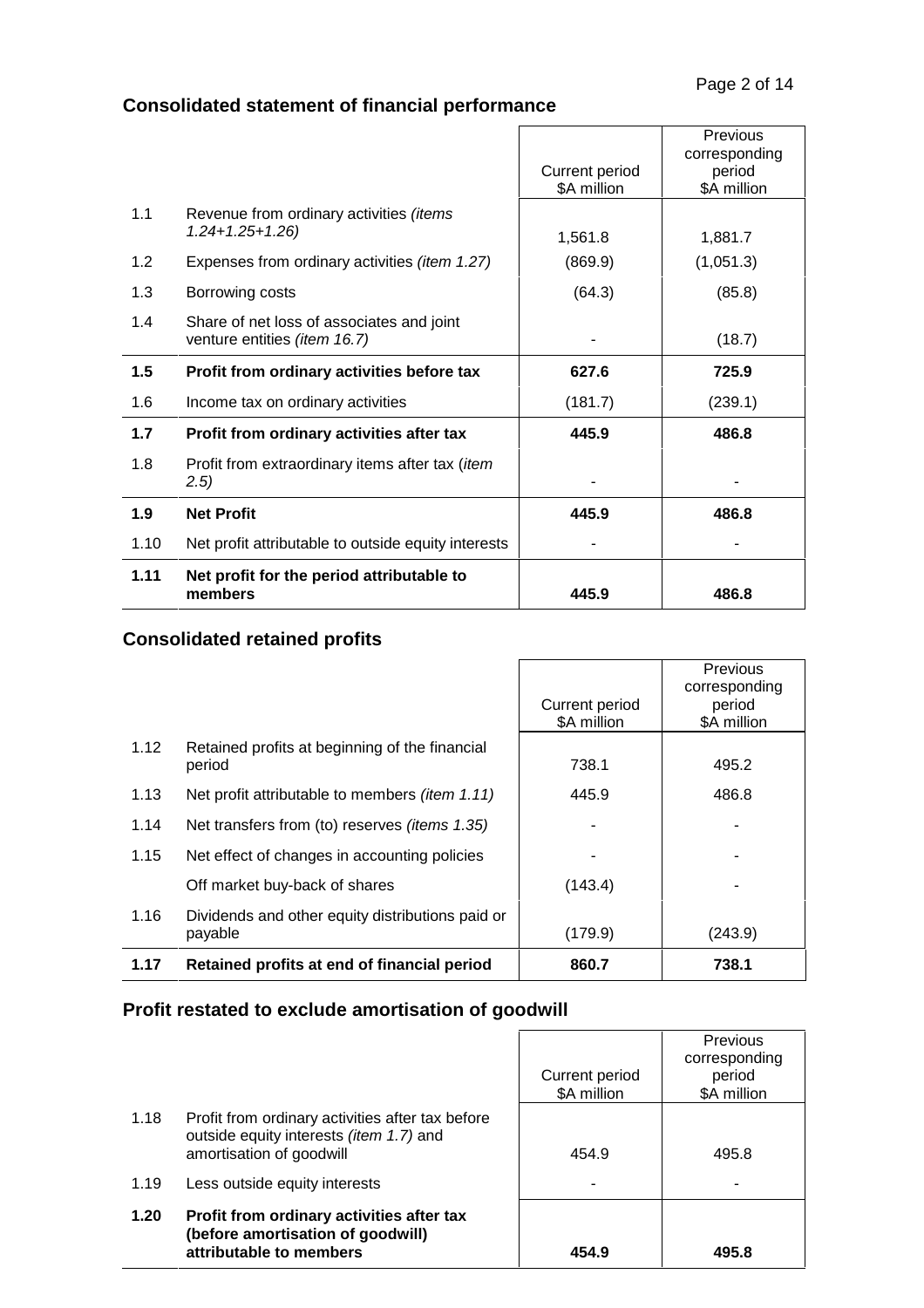$\overline{\phantom{0}}$ 

# **Consolidated statement of financial performance**

|      |                                                         |                | Previous      |
|------|---------------------------------------------------------|----------------|---------------|
|      |                                                         |                | corresponding |
|      |                                                         | Current period | period        |
|      |                                                         | \$A million    | \$A million   |
| 1.1  | Revenue from ordinary activities (items                 |                |               |
|      | $1.24 + 1.25 + 1.26$                                    | 1,561.8        | 1,881.7       |
| 1.2  | Expenses from ordinary activities (item 1.27)           | (869.9)        | (1,051.3)     |
| 1.3  | Borrowing costs                                         | (64.3)         | (85.8)        |
| 1.4  | Share of net loss of associates and joint               |                |               |
|      | venture entities (item 16.7)                            |                | (18.7)        |
|      |                                                         |                |               |
| 1.5  | Profit from ordinary activities before tax              | 627.6          | 725.9         |
| 1.6  | Income tax on ordinary activities                       | (181.7)        | (239.1)       |
| 1.7  | Profit from ordinary activities after tax               | 445.9          | 486.8         |
| 1.8  | Profit from extraordinary items after tax ( <i>item</i> |                |               |
|      | (2.5)                                                   |                |               |
| 1.9  | <b>Net Profit</b>                                       | 445.9          | 486.8         |
| 1.10 | Net profit attributable to outside equity interests     |                |               |
| 1.11 | Net profit for the period attributable to               |                |               |

### **Consolidated retained profits**

|      |                                                       |                               | <b>Previous</b><br>corresponding |
|------|-------------------------------------------------------|-------------------------------|----------------------------------|
|      |                                                       | Current period<br>\$A million | period<br>\$A million            |
|      |                                                       |                               |                                  |
| 1.12 | Retained profits at beginning of the financial        |                               |                                  |
|      | period                                                | 738.1                         | 495.2                            |
| 1.13 | Net profit attributable to members <i>(item 1.11)</i> | 445.9                         | 486.8                            |
| 1.14 | Net transfers from (to) reserves <i>(items 1.35)</i>  |                               |                                  |
| 1.15 | Net effect of changes in accounting policies          |                               |                                  |
|      | Off market buy-back of shares                         | (143.4)                       |                                  |
| 1.16 | Dividends and other equity distributions paid or      |                               |                                  |
|      | payable                                               | (179.9)                       | (243.9)                          |
| 1.17 | Retained profits at end of financial period           | 860.7                         | 738.1                            |

## **Profit restated to exclude amortisation of goodwill**

|      |                                                                                                                         | Current period<br>\$A million | Previous<br>corresponding<br>period<br>\$A million |
|------|-------------------------------------------------------------------------------------------------------------------------|-------------------------------|----------------------------------------------------|
| 1.18 | Profit from ordinary activities after tax before<br>outside equity interests (item 1.7) and<br>amortisation of goodwill | 454.9                         | 495.8                                              |
| 1.19 | Less outside equity interests                                                                                           |                               |                                                    |
| 1.20 | Profit from ordinary activities after tax<br>(before amortisation of goodwill)<br>attributable to members               | 454.9                         | 495.8                                              |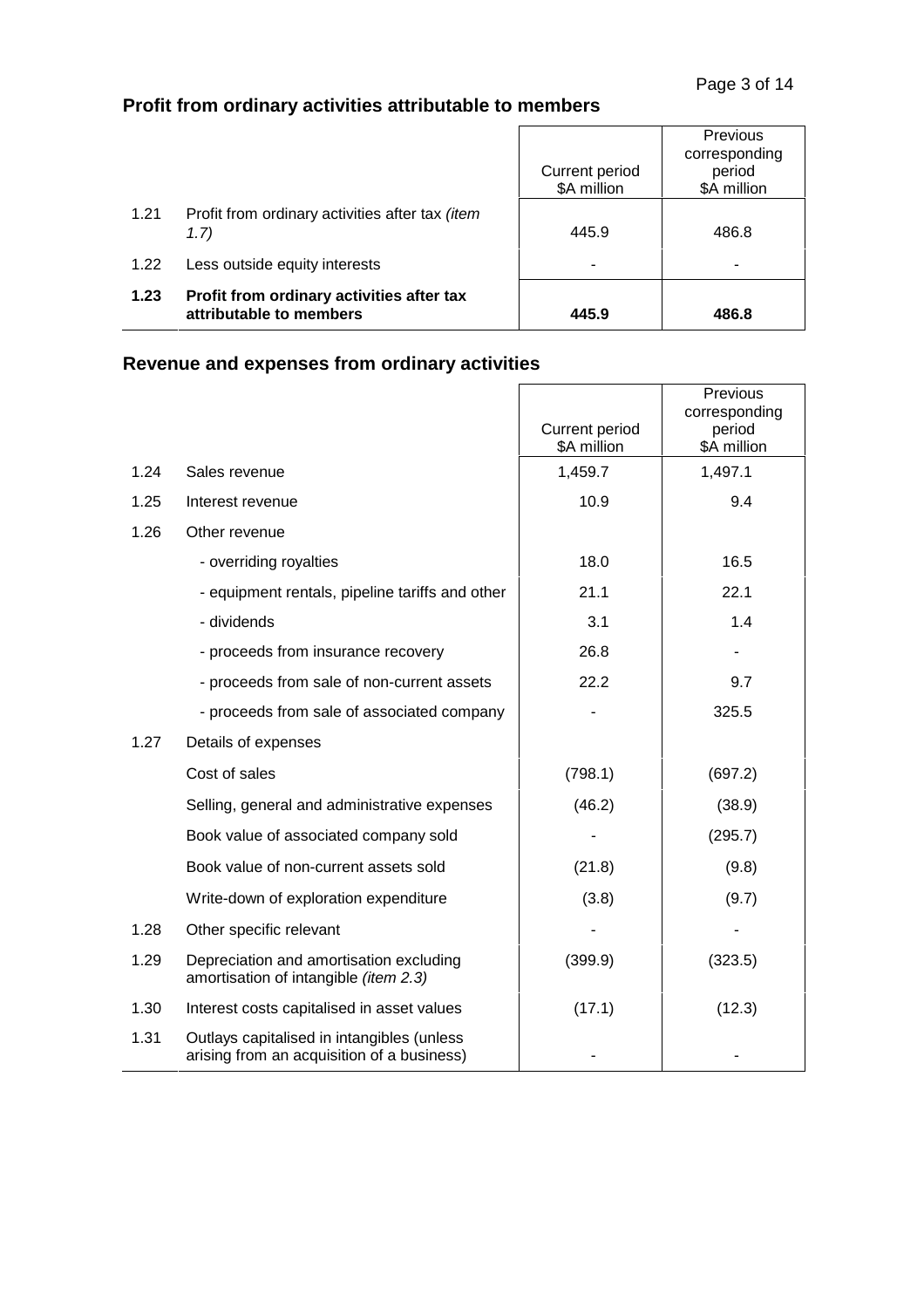# **Profit from ordinary activities attributable to members**

| 1.23 | Profit from ordinary activities after tax<br>attributable to members | 445.9                         | 486.8                                                     |
|------|----------------------------------------------------------------------|-------------------------------|-----------------------------------------------------------|
| 1.22 | Less outside equity interests                                        | -                             | -                                                         |
| 1.21 | Profit from ordinary activities after tax (item<br>1.7)              | 445.9                         | 486.8                                                     |
|      |                                                                      | Current period<br>\$A million | <b>Previous</b><br>corresponding<br>period<br>\$A million |

 $\overline{1}$ 

# **Revenue and expenses from ordinary activities**

|      |                                                                                          | Current period<br>\$A million | Previous<br>corresponding<br>period<br>\$A million |
|------|------------------------------------------------------------------------------------------|-------------------------------|----------------------------------------------------|
| 1.24 | Sales revenue                                                                            | 1,459.7                       | 1,497.1                                            |
| 1.25 | Interest revenue                                                                         | 10.9                          | 9.4                                                |
| 1.26 | Other revenue                                                                            |                               |                                                    |
|      | - overriding royalties                                                                   | 18.0                          | 16.5                                               |
|      | - equipment rentals, pipeline tariffs and other                                          | 21.1                          | 22.1                                               |
|      | - dividends                                                                              | 3.1                           | 1.4                                                |
|      | - proceeds from insurance recovery                                                       | 26.8                          |                                                    |
|      | - proceeds from sale of non-current assets                                               | 22.2                          | 9.7                                                |
|      | - proceeds from sale of associated company                                               |                               | 325.5                                              |
| 1.27 | Details of expenses                                                                      |                               |                                                    |
|      | Cost of sales                                                                            | (798.1)                       | (697.2)                                            |
|      | Selling, general and administrative expenses                                             | (46.2)                        | (38.9)                                             |
|      | Book value of associated company sold                                                    |                               | (295.7)                                            |
|      | Book value of non-current assets sold                                                    | (21.8)                        | (9.8)                                              |
|      | Write-down of exploration expenditure                                                    | (3.8)                         | (9.7)                                              |
| 1.28 | Other specific relevant                                                                  |                               |                                                    |
| 1.29 | Depreciation and amortisation excluding<br>amortisation of intangible (item 2.3)         | (399.9)                       | (323.5)                                            |
| 1.30 | Interest costs capitalised in asset values                                               | (17.1)                        | (12.3)                                             |
| 1.31 | Outlays capitalised in intangibles (unless<br>arising from an acquisition of a business) |                               |                                                    |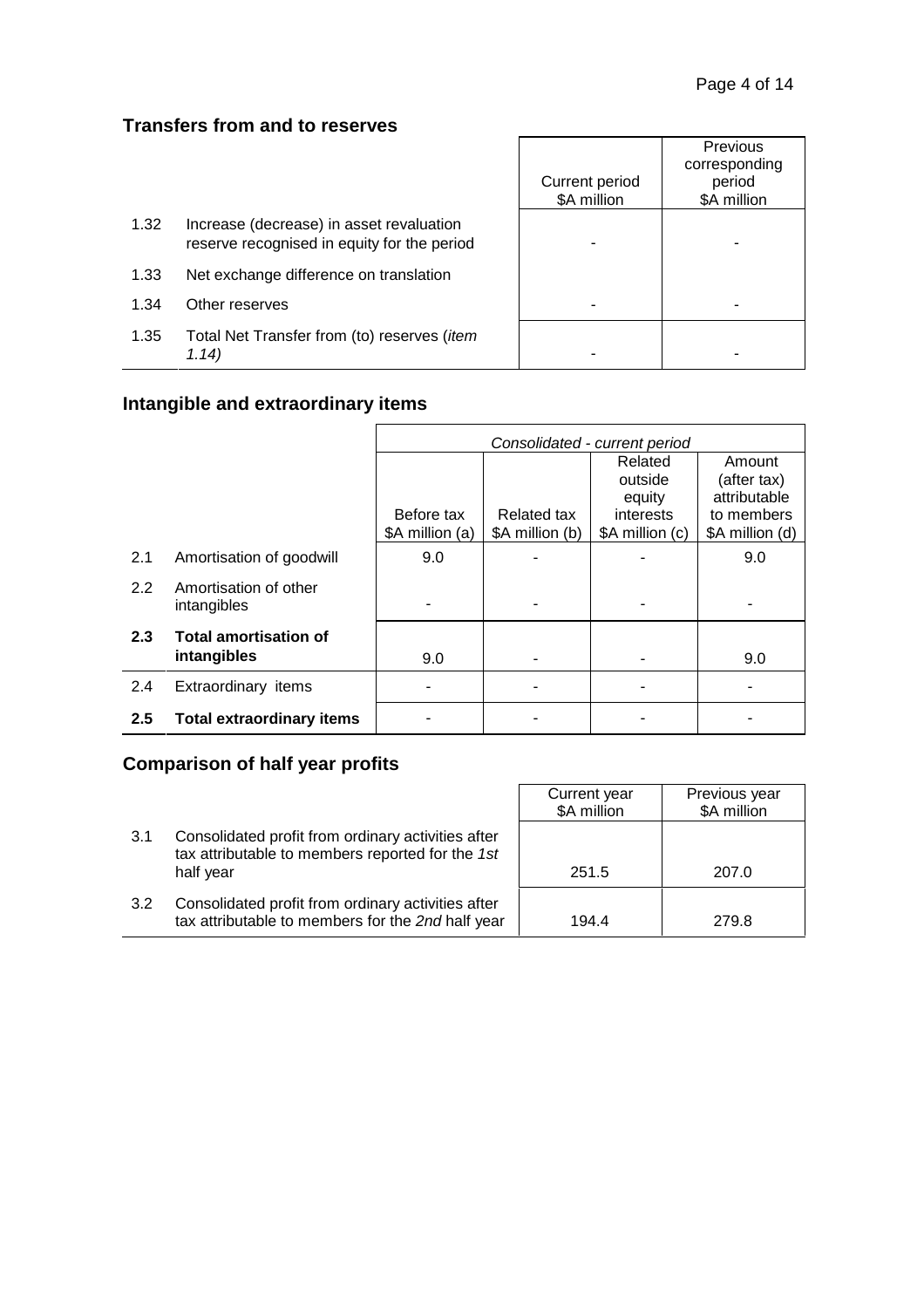### **Transfers from and to reserves**

|      |                                                                                         | Current period<br>\$A million | <b>Previous</b><br>corresponding<br>period<br>\$A million |
|------|-----------------------------------------------------------------------------------------|-------------------------------|-----------------------------------------------------------|
| 1.32 | Increase (decrease) in asset revaluation<br>reserve recognised in equity for the period |                               |                                                           |
| 1.33 | Net exchange difference on translation                                                  |                               |                                                           |
| 1.34 | Other reserves                                                                          |                               |                                                           |
| 1.35 | Total Net Transfer from (to) reserves ( <i>item</i><br>1.14)                            |                               |                                                           |

# **Intangible and extraordinary items**

|                  |                                      | Consolidated - current period |                 |                 |                 |
|------------------|--------------------------------------|-------------------------------|-----------------|-----------------|-----------------|
|                  |                                      |                               |                 | Related         | Amount          |
|                  |                                      |                               |                 | outside         | (after tax)     |
|                  |                                      |                               |                 | equity          | attributable    |
|                  |                                      | Before tax                    | Related tax     | interests       | to members      |
|                  |                                      | \$A million (a)               | \$A million (b) | \$A million (c) | \$A million (d) |
| 2.1              | Amortisation of goodwill             | 9.0                           |                 |                 | 9.0             |
| $2.2^{\circ}$    | Amortisation of other<br>intangibles |                               |                 |                 |                 |
| 2.3              | <b>Total amortisation of</b>         |                               |                 |                 |                 |
|                  | intangibles                          | 9.0                           |                 |                 | 9.0             |
| 2.4              | Extraordinary items                  |                               |                 |                 |                 |
| $2.5\phantom{0}$ | <b>Total extraordinary items</b>     |                               |                 |                 |                 |

# **Comparison of half year profits**

|     |                                                                                                         | Current year<br>\$A million | Previous year<br>\$A million |
|-----|---------------------------------------------------------------------------------------------------------|-----------------------------|------------------------------|
| 3.1 | Consolidated profit from ordinary activities after<br>tax attributable to members reported for the 1st  |                             |                              |
|     | half year                                                                                               | 251.5                       | 207.0                        |
| 3.2 | Consolidated profit from ordinary activities after<br>tax attributable to members for the 2nd half year | 194.4                       | 279.8                        |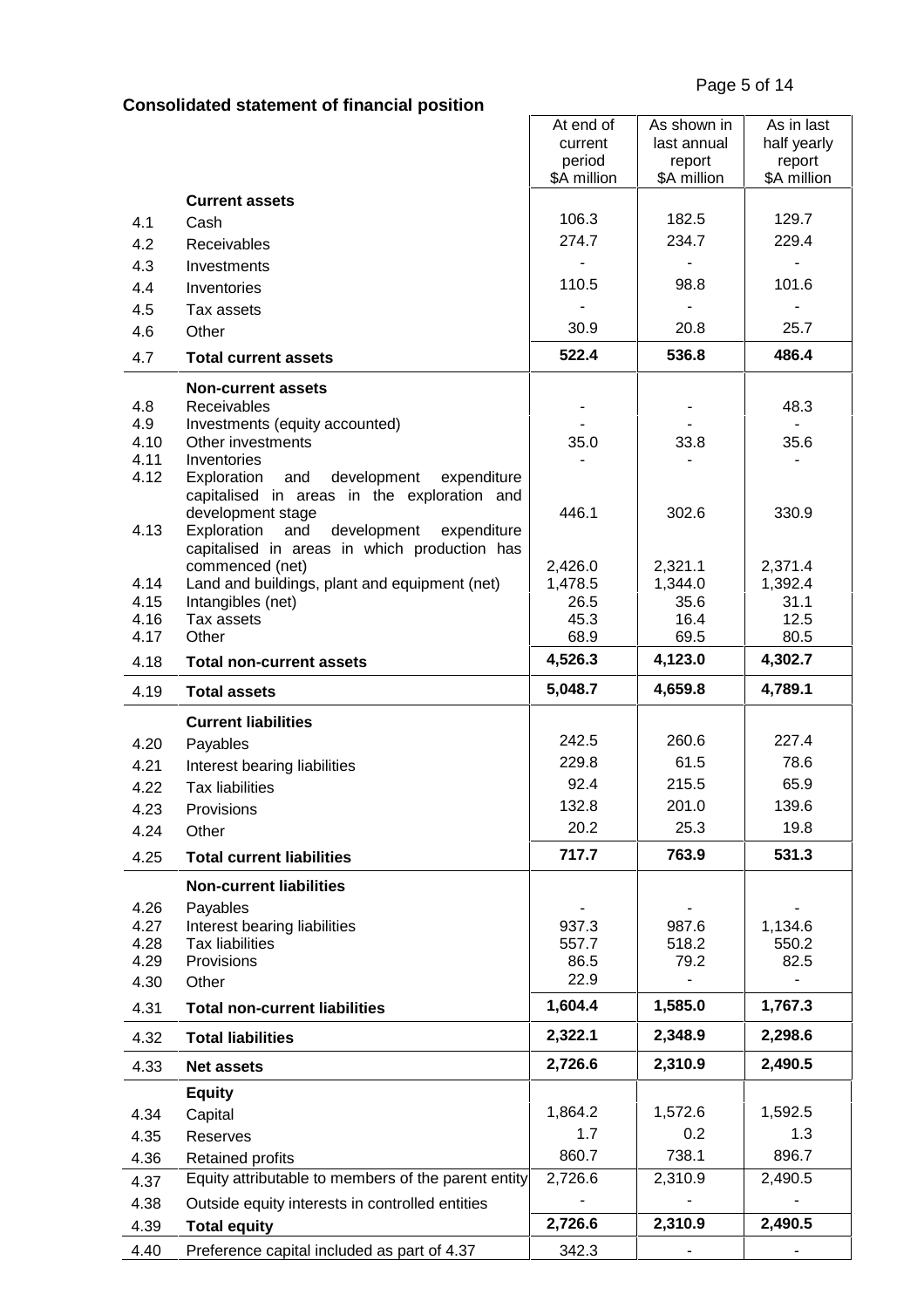# **Consolidated statement of financial position**

|              |                                                     | At end of             | As shown in           | As in last            |
|--------------|-----------------------------------------------------|-----------------------|-----------------------|-----------------------|
|              |                                                     | current               | last annual           | half yearly           |
|              |                                                     | period<br>\$A million | report<br>\$A million | report<br>\$A million |
|              | <b>Current assets</b>                               |                       |                       |                       |
| 4.1          | Cash                                                | 106.3                 | 182.5                 | 129.7                 |
| 4.2          | Receivables                                         | 274.7                 | 234.7                 | 229.4                 |
| 4.3          | Investments                                         |                       |                       |                       |
| 4.4          | Inventories                                         | 110.5                 | 98.8                  | 101.6                 |
|              |                                                     |                       |                       |                       |
| 4.5          | Tax assets                                          | 30.9                  | 20.8                  | 25.7                  |
| 4.6          | Other                                               |                       |                       |                       |
| 4.7          | <b>Total current assets</b>                         | 522.4                 | 536.8                 | 486.4                 |
|              | <b>Non-current assets</b>                           |                       |                       |                       |
| 4.8          | Receivables                                         |                       |                       | 48.3                  |
| 4.9          | Investments (equity accounted)                      |                       |                       |                       |
| 4.10<br>4.11 | Other investments<br>Inventories                    | 35.0                  | 33.8                  | 35.6                  |
| 4.12         | development<br>Exploration<br>and<br>expenditure    |                       |                       |                       |
|              | capitalised in areas in the exploration and         |                       |                       |                       |
|              | development stage                                   | 446.1                 | 302.6                 | 330.9                 |
| 4.13         | development<br>Exploration<br>and<br>expenditure    |                       |                       |                       |
|              | capitalised in areas in which production has        |                       |                       |                       |
|              | commenced (net)                                     | 2,426.0               | 2,321.1               | 2,371.4               |
| 4.14<br>4.15 | Land and buildings, plant and equipment (net)       | 1,478.5<br>26.5       | 1,344.0<br>35.6       | 1,392.4<br>31.1       |
| 4.16         | Intangibles (net)<br>Tax assets                     | 45.3                  | 16.4                  | 12.5                  |
| 4.17         | Other                                               | 68.9                  | 69.5                  | 80.5                  |
| 4.18         | <b>Total non-current assets</b>                     | 4,526.3               | 4,123.0               | 4,302.7               |
| 4.19         | <b>Total assets</b>                                 | 5,048.7               | 4,659.8               | 4,789.1               |
|              | <b>Current liabilities</b>                          |                       |                       |                       |
| 4.20         |                                                     | 242.5                 | 260.6                 | 227.4                 |
| 4.21         | Payables<br>Interest bearing liabilities            | 229.8                 | 61.5                  | 78.6                  |
| 4.22         | <b>Tax liabilities</b>                              | 92.4                  | 215.5                 | 65.9                  |
|              |                                                     | 132.8                 | 201.0                 | 139.6                 |
| 4.23         | Provisions                                          | 20.2                  | 25.3                  | 19.8                  |
| 4.24         | Other                                               |                       |                       |                       |
| 4.25         | <b>Total current liabilities</b>                    | 717.7                 | 763.9                 | 531.3                 |
|              | <b>Non-current liabilities</b>                      |                       |                       |                       |
| 4.26         | Payables                                            |                       |                       |                       |
| 4.27         | Interest bearing liabilities                        | 937.3                 | 987.6                 | 1,134.6               |
| 4.28         | <b>Tax liabilities</b>                              | 557.7                 | 518.2                 | 550.2                 |
| 4.29         | Provisions                                          | 86.5<br>22.9          | 79.2                  | 82.5                  |
| 4.30         | Other                                               |                       |                       |                       |
| 4.31         | <b>Total non-current liabilities</b>                | 1,604.4               | 1,585.0               | 1,767.3               |
| 4.32         | <b>Total liabilities</b>                            | 2,322.1               | 2,348.9               | 2,298.6               |
| 4.33         | <b>Net assets</b>                                   | 2,726.6               | 2,310.9               | 2,490.5               |
|              | <b>Equity</b>                                       |                       |                       |                       |
| 4.34         | Capital                                             | 1,864.2               | 1,572.6               | 1,592.5               |
| 4.35         | Reserves                                            | 1.7                   | 0.2                   | 1.3                   |
| 4.36         | Retained profits                                    | 860.7                 | 738.1                 | 896.7                 |
| 4.37         | Equity attributable to members of the parent entity | 2,726.6               | 2,310.9               | 2,490.5               |
| 4.38         | Outside equity interests in controlled entities     |                       |                       |                       |
| 4.39         | <b>Total equity</b>                                 | 2,726.6               | 2,310.9               | 2,490.5               |
| 4.40         | Preference capital included as part of 4.37         | 342.3                 |                       | ٠                     |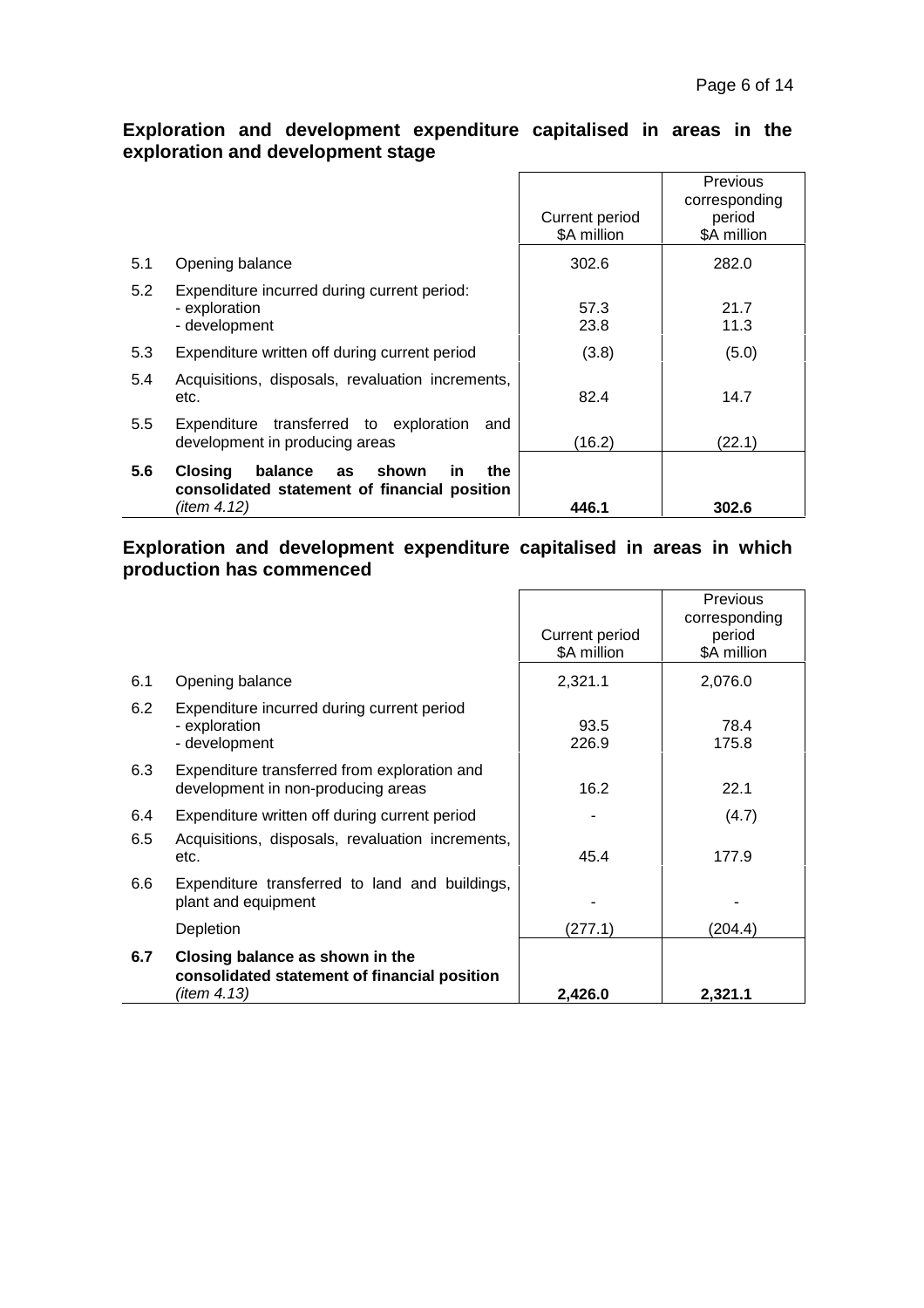### **Exploration and development expenditure capitalised in areas in the exploration and development stage**

|     |                                                                                                                             | Current period | Previous<br>corresponding<br>period |
|-----|-----------------------------------------------------------------------------------------------------------------------------|----------------|-------------------------------------|
|     |                                                                                                                             | \$A million    | \$A million                         |
| 5.1 | Opening balance                                                                                                             | 302.6          | 282.0                               |
| 5.2 | Expenditure incurred during current period:                                                                                 |                |                                     |
|     | - exploration                                                                                                               | 57.3           | 21.7                                |
|     | - development                                                                                                               | 23.8           | 11.3                                |
| 5.3 | Expenditure written off during current period                                                                               | (3.8)          | (5.0)                               |
| 5.4 | Acquisitions, disposals, revaluation increments,<br>etc.                                                                    | 82.4           | 14.7                                |
| 5.5 | Expenditure transferred to exploration<br>and<br>development in producing areas                                             | (16.2)         | (22.1)                              |
| 5.6 | the<br><b>Closing</b><br>balance<br>shown<br><b>in</b><br>as<br>consolidated statement of financial position<br>(item 4.12) | 446.1          | 302.6                               |

#### **Exploration and development expenditure capitalised in areas in which production has commenced**

|                                                                                    |                               | Previous<br>corresponding |
|------------------------------------------------------------------------------------|-------------------------------|---------------------------|
|                                                                                    | Current period<br>\$A million | period<br>\$A million     |
| Opening balance                                                                    | 2,321.1                       | 2,076.0                   |
| Expenditure incurred during current period<br>- exploration<br>- development       | 93.5<br>226.9                 | 78.4<br>175.8             |
| Expenditure transferred from exploration and<br>development in non-producing areas | 16.2                          | 22.1                      |
| Expenditure written off during current period                                      |                               | (4.7)                     |
| Acquisitions, disposals, revaluation increments,<br>etc.                           | 45.4                          | 177.9                     |
| Expenditure transferred to land and buildings,<br>plant and equipment              |                               |                           |
| Depletion                                                                          | (277.1)                       | (204.4)                   |
| Closing balance as shown in the<br>consolidated statement of financial position    |                               | 2,321.1                   |
|                                                                                    | (item 4.13)                   | 2,426.0                   |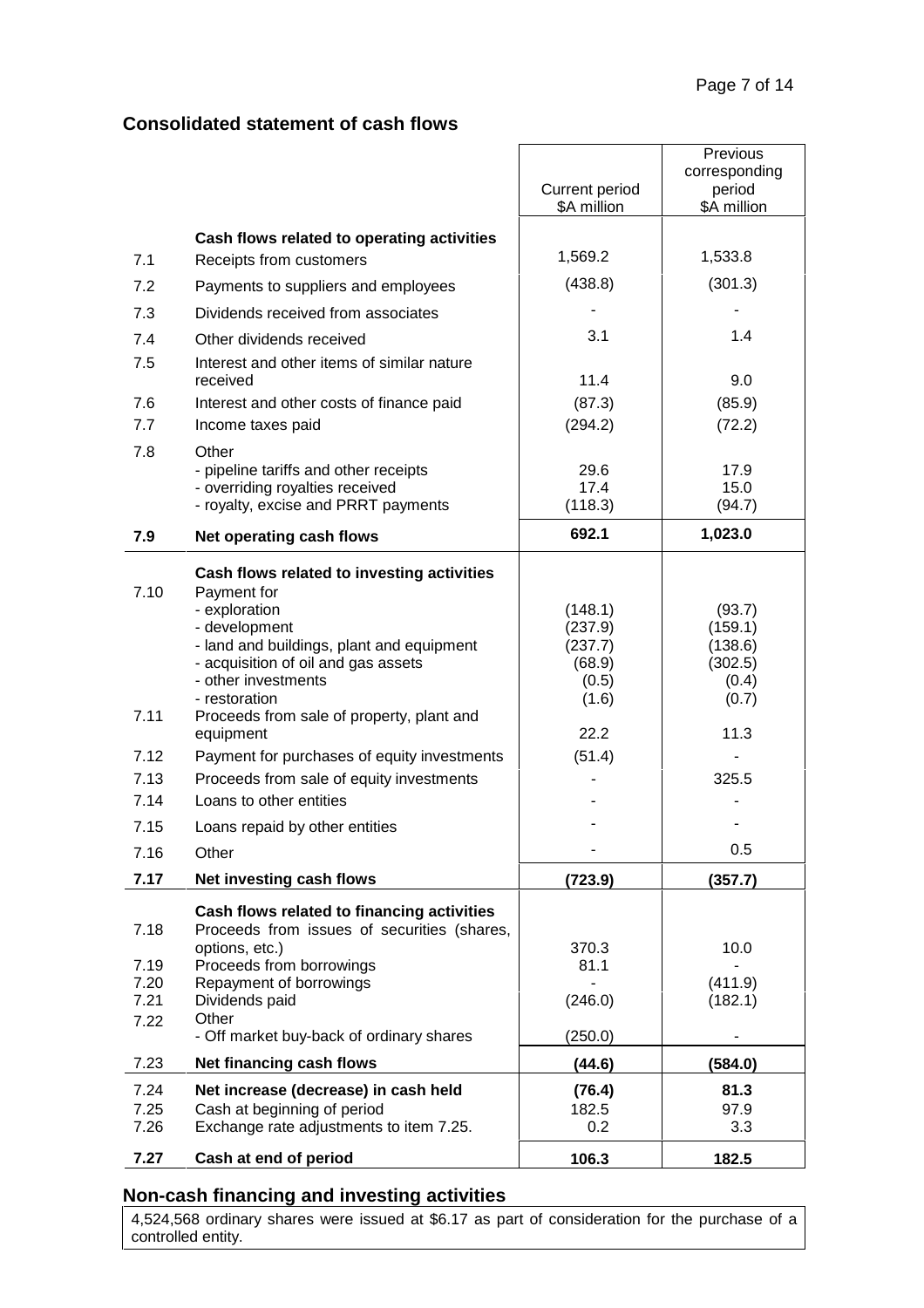## **Consolidated statement of cash flows**

|                                                              |                                                                                                                                                                                                                                                                                                                                                                                                                                                                                | Current period<br>\$A million                                                          | Previous<br>corresponding<br>period<br>\$A million                                           |
|--------------------------------------------------------------|--------------------------------------------------------------------------------------------------------------------------------------------------------------------------------------------------------------------------------------------------------------------------------------------------------------------------------------------------------------------------------------------------------------------------------------------------------------------------------|----------------------------------------------------------------------------------------|----------------------------------------------------------------------------------------------|
|                                                              |                                                                                                                                                                                                                                                                                                                                                                                                                                                                                |                                                                                        |                                                                                              |
| 7.1                                                          | Cash flows related to operating activities<br>Receipts from customers                                                                                                                                                                                                                                                                                                                                                                                                          | 1,569.2                                                                                | 1,533.8                                                                                      |
| 7.2                                                          | Payments to suppliers and employees                                                                                                                                                                                                                                                                                                                                                                                                                                            | (438.8)                                                                                | (301.3)                                                                                      |
| 7.3                                                          | Dividends received from associates                                                                                                                                                                                                                                                                                                                                                                                                                                             |                                                                                        |                                                                                              |
| 7.4                                                          | Other dividends received                                                                                                                                                                                                                                                                                                                                                                                                                                                       | 3.1                                                                                    | 1.4                                                                                          |
| 7.5                                                          | Interest and other items of similar nature<br>received                                                                                                                                                                                                                                                                                                                                                                                                                         | 11.4                                                                                   | 9.0                                                                                          |
| 7.6                                                          | Interest and other costs of finance paid                                                                                                                                                                                                                                                                                                                                                                                                                                       | (87.3)                                                                                 | (85.9)                                                                                       |
| 7.7                                                          | Income taxes paid                                                                                                                                                                                                                                                                                                                                                                                                                                                              | (294.2)                                                                                | (72.2)                                                                                       |
| 7.8                                                          | Other<br>- pipeline tariffs and other receipts<br>- overriding royalties received                                                                                                                                                                                                                                                                                                                                                                                              | 29.6<br>17.4                                                                           | 17.9<br>15.0                                                                                 |
|                                                              | - royalty, excise and PRRT payments                                                                                                                                                                                                                                                                                                                                                                                                                                            | (118.3)                                                                                | (94.7)                                                                                       |
| 7.9                                                          | Net operating cash flows                                                                                                                                                                                                                                                                                                                                                                                                                                                       | 692.1                                                                                  | 1,023.0                                                                                      |
| 7.10<br>7.11<br>7.12<br>7.13<br>7.14<br>7.15<br>7.16<br>7.17 | Cash flows related to investing activities<br>Payment for<br>- exploration<br>- development<br>- land and buildings, plant and equipment<br>- acquisition of oil and gas assets<br>- other investments<br>- restoration<br>Proceeds from sale of property, plant and<br>equipment<br>Payment for purchases of equity investments<br>Proceeds from sale of equity investments<br>Loans to other entities<br>Loans repaid by other entities<br>Other<br>Net investing cash flows | (148.1)<br>(237.9)<br>(237.7)<br>(68.9)<br>(0.5)<br>(1.6)<br>22.2<br>(51.4)<br>(723.9) | (93.7)<br>(159.1)<br>(138.6)<br>(302.5)<br>(0.4)<br>(0.7)<br>11.3<br>325.5<br>0.5<br>(357.7) |
|                                                              |                                                                                                                                                                                                                                                                                                                                                                                                                                                                                |                                                                                        |                                                                                              |
| 7.18                                                         | Cash flows related to financing activities<br>Proceeds from issues of securities (shares,<br>options, etc.)                                                                                                                                                                                                                                                                                                                                                                    | 370.3                                                                                  | 10.0                                                                                         |
| 7.19<br>7.20<br>7.21                                         | Proceeds from borrowings<br>Repayment of borrowings<br>Dividends paid                                                                                                                                                                                                                                                                                                                                                                                                          | 81.1<br>(246.0)                                                                        | (411.9)<br>(182.1)                                                                           |
| 7.22                                                         | Other<br>- Off market buy-back of ordinary shares                                                                                                                                                                                                                                                                                                                                                                                                                              | (250.0)                                                                                |                                                                                              |
| 7.23                                                         | Net financing cash flows                                                                                                                                                                                                                                                                                                                                                                                                                                                       | (44.6)                                                                                 | (584.0)                                                                                      |
| 7.24<br>7.25<br>7.26                                         | Net increase (decrease) in cash held<br>Cash at beginning of period<br>Exchange rate adjustments to item 7.25.                                                                                                                                                                                                                                                                                                                                                                 | (76.4)<br>182.5<br>0.2                                                                 | 81.3<br>97.9<br>3.3                                                                          |
| 7.27                                                         | Cash at end of period                                                                                                                                                                                                                                                                                                                                                                                                                                                          | 106.3                                                                                  | 182.5                                                                                        |

## **Non-cash financing and investing activities**

4,524,568 ordinary shares were issued at \$6.17 as part of consideration for the purchase of a controlled entity.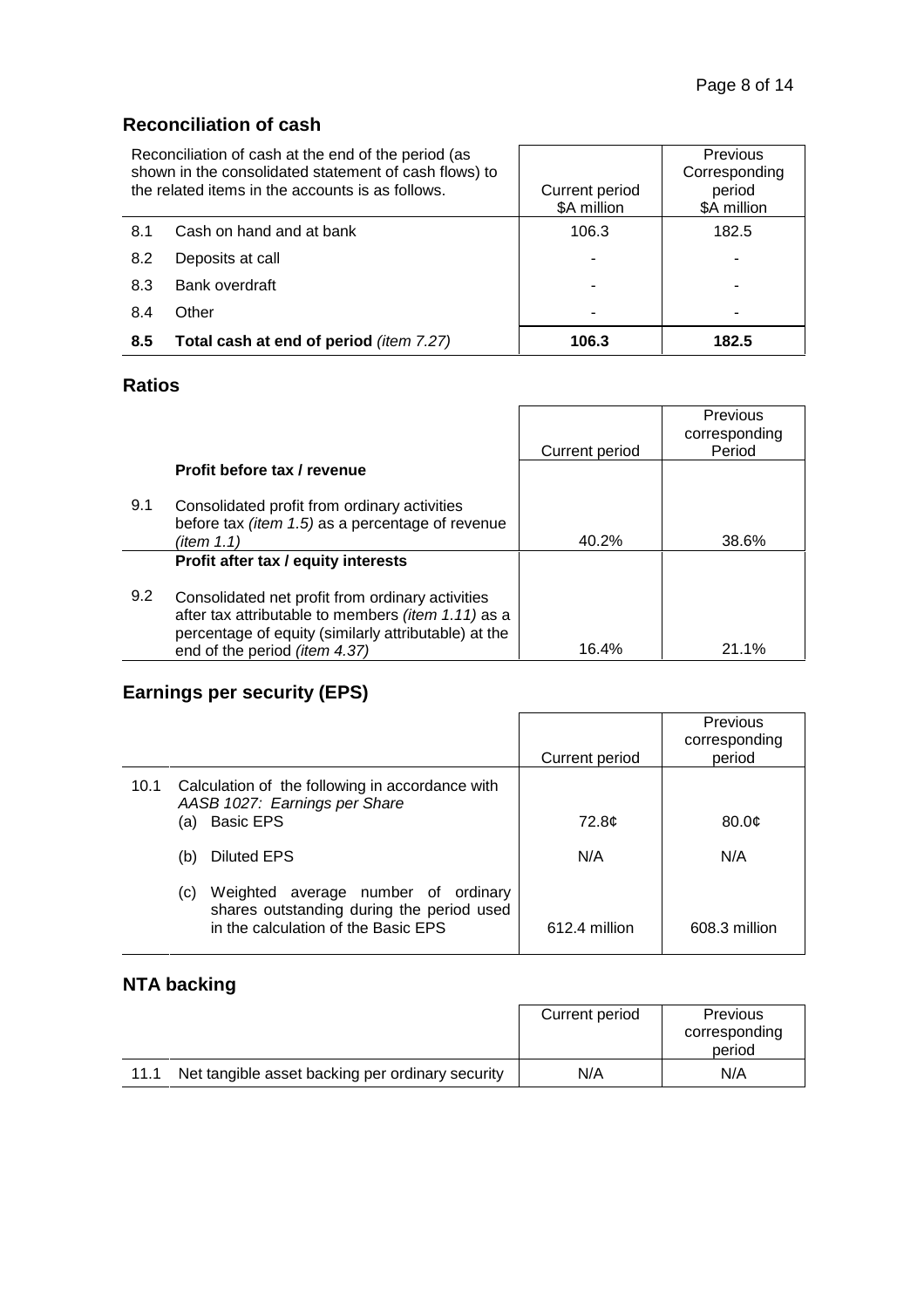## **Reconciliation of cash**

| Reconciliation of cash at the end of the period (as<br>shown in the consolidated statement of cash flows) to<br>the related items in the accounts is as follows. |                                         | Current period<br>\$A million | Previous<br>Corresponding<br>period<br>\$A million |
|------------------------------------------------------------------------------------------------------------------------------------------------------------------|-----------------------------------------|-------------------------------|----------------------------------------------------|
| 8.1                                                                                                                                                              | Cash on hand and at bank                | 106.3                         | 182.5                                              |
| 8.2                                                                                                                                                              | Deposits at call                        |                               |                                                    |
| 8.3                                                                                                                                                              | Bank overdraft                          |                               |                                                    |
| 8.4                                                                                                                                                              | Other                                   |                               |                                                    |
| 8.5                                                                                                                                                              | Total cash at end of period (item 7.27) | 106.3                         | 182.5                                              |

## **Ratios**

|     |                                                                                                                                                                                                 | Current period | Previous<br>corresponding<br>Period |
|-----|-------------------------------------------------------------------------------------------------------------------------------------------------------------------------------------------------|----------------|-------------------------------------|
|     | Profit before tax / revenue                                                                                                                                                                     |                |                                     |
| 9.1 | Consolidated profit from ordinary activities<br>before tax (item 1.5) as a percentage of revenue<br>(item 1.1)                                                                                  | 40.2%          | 38.6%                               |
|     | Profit after tax / equity interests                                                                                                                                                             |                |                                     |
| 9.2 | Consolidated net profit from ordinary activities<br>after tax attributable to members (item 1.11) as a<br>percentage of equity (similarly attributable) at the<br>end of the period (item 4.37) | 16.4%          | 21.1%                               |

# **Earnings per security (EPS)**

|      |     |                                                                                                                         | Current period | Previous<br>corresponding<br>period |
|------|-----|-------------------------------------------------------------------------------------------------------------------------|----------------|-------------------------------------|
| 10.1 | (a) | Calculation of the following in accordance with<br>AASB 1027: Earnings per Share<br><b>Basic EPS</b>                    | 72.8¢          | 80.0 <sub>c</sub>                   |
|      | (b) | <b>Diluted EPS</b>                                                                                                      | N/A            | N/A                                 |
|      | (C) | Weighted average number of ordinary<br>shares outstanding during the period used<br>in the calculation of the Basic EPS | 612.4 million  | 608.3 million                       |

# **NTA backing**

|      |                                                  | Current period | <b>Previous</b><br>corresponding |
|------|--------------------------------------------------|----------------|----------------------------------|
|      |                                                  |                | period                           |
| 11.1 | Net tangible asset backing per ordinary security | N/A            | N/A                              |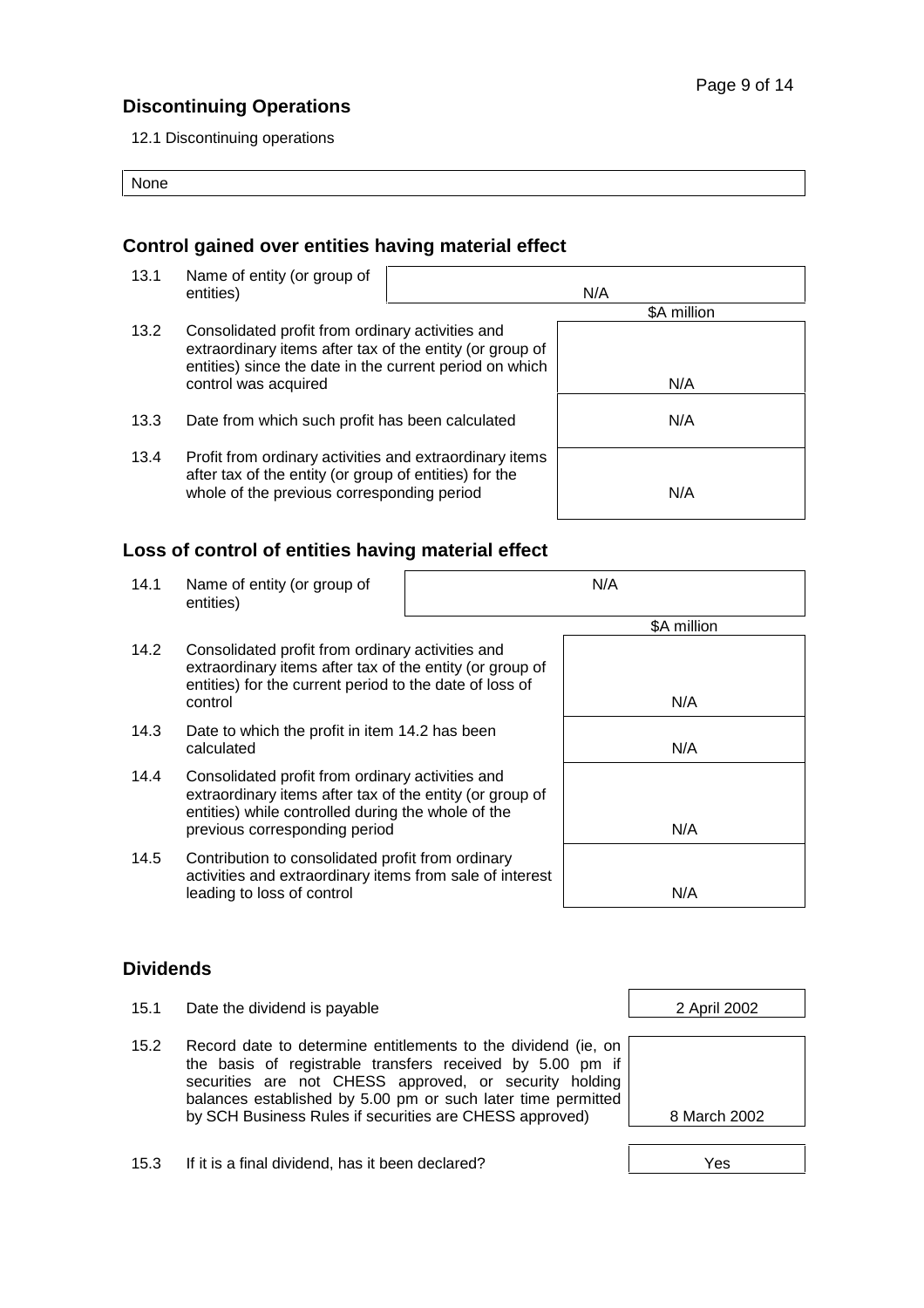### **Discontinuing Operations**

12.1 Discontinuing operations

None

### **Control gained over entities having material effect**

13.1 Name of entity (or group of entities) and the settlement of the settlement of the settlement of the settlement of the settlement of the set \$A million 13.2 Consolidated profit from ordinary activities and extraordinary items after tax of the entity (or group of entities) since the date in the current period on which control was acquired N/A 13.3 Date from which such profit has been calculated N/A 13.4 Profit from ordinary activities and extraordinary items after tax of the entity (or group of entities) for the whole of the previous corresponding period  $N/A$ 

### **Loss of control of entities having material effect**

14.1 Name of entity (or group of entities)

| N/A |  |  |
|-----|--|--|
|     |  |  |

- 14.2 Consolidated profit from ordinary activities and extraordinary items after tax of the entity (or group of entities) for the current period to the date of loss of control N/A
- 14.3 Date to which the profit in item 14.2 has been calculated N/A
- 14.4 Consolidated profit from ordinary activities and extraordinary items after tax of the entity (or group of entities) while controlled during the whole of the previous corresponding period N/A
- 14.5 Contribution to consolidated profit from ordinary activities and extraordinary items from sale of interest leading to loss of control networks are all the N/A

| <b>Dividends</b> |  |
|------------------|--|

- 15.1 Date the dividend is payable 2 April 2002
- 15.2 Record date to determine entitlements to the dividend (ie, on the basis of registrable transfers received by 5.00 pm if securities are not CHESS approved, or security holding balances established by 5.00 pm or such later time permitted by SCH Business Rules if securities are CHESS approved) 8 March 2002





15.3 If it is a final dividend, has it been declared? The Contract Law Mess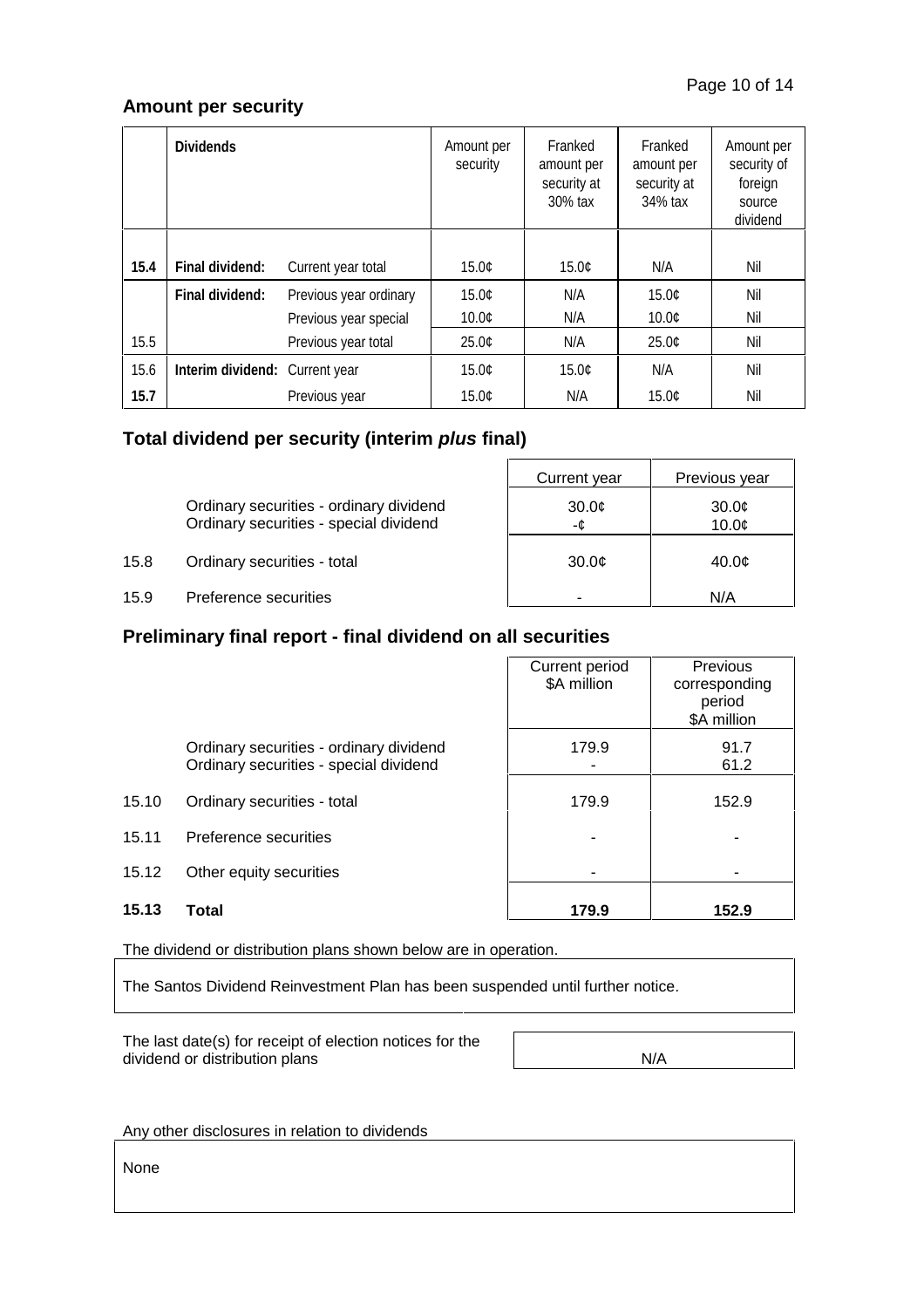### **Amount per security**

|      | <b>Dividends</b>               |                        | Amount per<br>security | Franked<br>amount per<br>security at<br>30% tax | Franked<br>amount per<br>security at<br>34% tax | Amount per<br>security of<br>foreign<br>source<br>dividend |
|------|--------------------------------|------------------------|------------------------|-------------------------------------------------|-------------------------------------------------|------------------------------------------------------------|
|      |                                |                        |                        |                                                 |                                                 |                                                            |
| 15.4 | Final dividend:                | Current year total     | 15.0¢                  | 15.0¢                                           | N/A                                             | Nil                                                        |
|      | Final dividend:                | Previous year ordinary | 15.0¢                  | N/A                                             | 15.0¢                                           | Nil                                                        |
|      |                                | Previous year special  | 10.0C                  | N/A                                             | 10.0¢                                           | Nil                                                        |
| 15.5 |                                | Previous year total    | $25.0$ ¢               | N/A                                             | 25.0¢                                           | Nil                                                        |
| 15.6 | Interim dividend: Current year |                        | 15.0¢                  | 15.0¢                                           | N/A                                             | Nil                                                        |
| 15.7 |                                | Previous year          | 15.0¢                  | N/A                                             | 15.0¢                                           | Nil                                                        |

### **Total dividend per security (interim** *plus* **final)**

Ordinary securities - ordinary dividend Ordinary securities - special dividend

| Current year      | Previous year |
|-------------------|---------------|
| 30.0<br>-¢        | 30.0<br>10.0  |
| 30.0 <sub>¢</sub> | 40.0¢         |
|                   | N/A           |

15.8 Ordinary securities - total

15.9 Preference securities

#### **Preliminary final report - final dividend on all securities**

|       |                                                                                   | Current period<br>\$A million | Previous<br>corresponding<br>period<br>\$A million |
|-------|-----------------------------------------------------------------------------------|-------------------------------|----------------------------------------------------|
|       | Ordinary securities - ordinary dividend<br>Ordinary securities - special dividend | 179.9                         | 91.7<br>61.2                                       |
| 15.10 | Ordinary securities - total                                                       | 179.9                         | 152.9                                              |
| 15.11 | Preference securities                                                             |                               |                                                    |
| 15.12 | Other equity securities                                                           |                               |                                                    |
| 15.13 | Total                                                                             | 179.9                         | 152.9                                              |

The dividend or distribution plans shown below are in operation.

The Santos Dividend Reinvestment Plan has been suspended until further notice.

The last date(s) for receipt of election notices for the dividend or distribution plans N/A

Any other disclosures in relation to dividends

None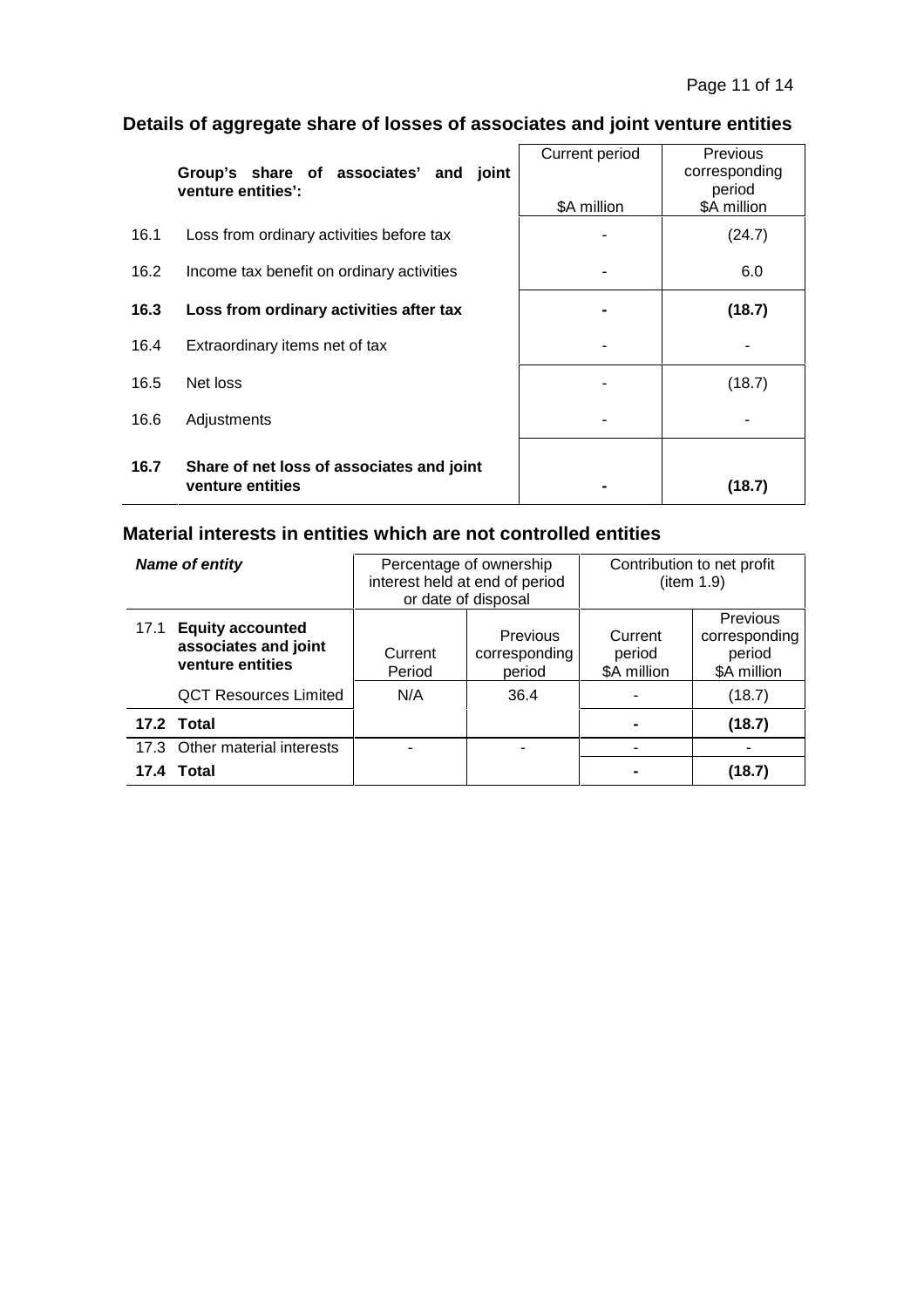# **Details of aggregate share of losses of associates and joint venture entities**

|      | Group's share of associates' and joint<br>venture entities':  | Current period | <b>Previous</b><br>corresponding<br>period |
|------|---------------------------------------------------------------|----------------|--------------------------------------------|
|      |                                                               | \$A million    | \$A million                                |
| 16.1 | Loss from ordinary activities before tax                      |                | (24.7)                                     |
| 16.2 | Income tax benefit on ordinary activities                     |                | 6.0                                        |
| 16.3 | Loss from ordinary activities after tax                       |                | (18.7)                                     |
| 16.4 | Extraordinary items net of tax                                |                |                                            |
| 16.5 | Net loss                                                      |                | (18.7)                                     |
| 16.6 | Adjustments                                                   |                |                                            |
| 16.7 | Share of net loss of associates and joint<br>venture entities |                | (18.7)                                     |

## **Material interests in entities which are not controlled entities**

| <b>Name of entity</b>                                                       |  | Percentage of ownership<br>interest held at end of period<br>or date of disposal |                                     | Contribution to net profit<br>item 1.9) |                                                    |
|-----------------------------------------------------------------------------|--|----------------------------------------------------------------------------------|-------------------------------------|-----------------------------------------|----------------------------------------------------|
| <b>Equity accounted</b><br>17.1<br>associates and joint<br>venture entities |  | Current<br>Period                                                                | Previous<br>corresponding<br>period | Current<br>period<br>\$A million        | Previous<br>corresponding<br>period<br>\$A million |
| <b>QCT Resources Limited</b>                                                |  | N/A                                                                              | 36.4                                |                                         | (18.7)                                             |
| 17.2 Total                                                                  |  |                                                                                  |                                     |                                         | (18.7)                                             |
| 17.3 Other material interests                                               |  |                                                                                  |                                     |                                         |                                                    |
| 17.4 Total                                                                  |  |                                                                                  |                                     |                                         | (18.7)                                             |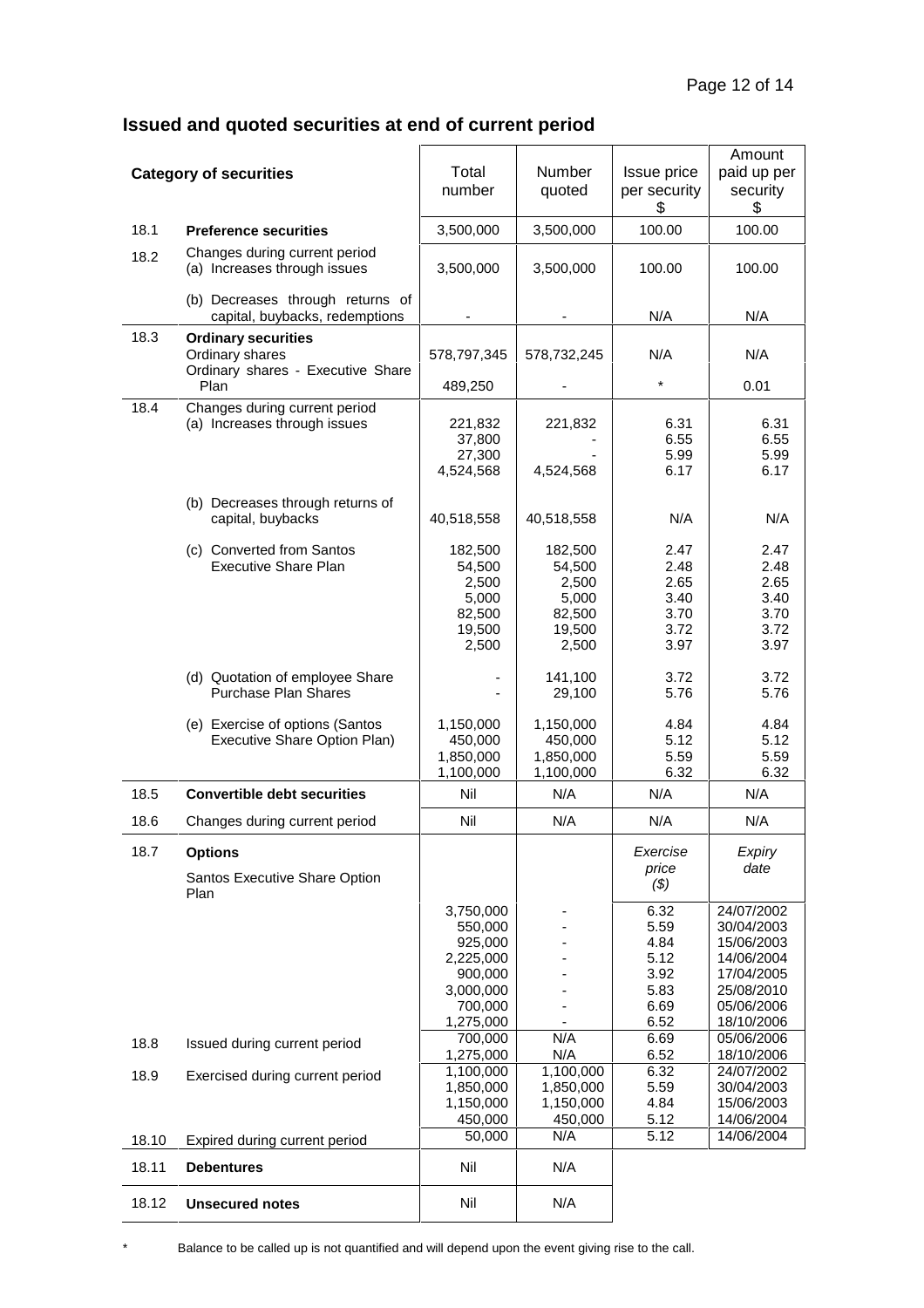## **Issued and quoted securities at end of current period**

|       | <b>Category of securities</b>                                                      | Total<br>number                                                                              | Number<br>quoted                                                 | Issue price<br>per security<br>\$                            | Amount<br>paid up per<br>security<br>\$                                                                      |
|-------|------------------------------------------------------------------------------------|----------------------------------------------------------------------------------------------|------------------------------------------------------------------|--------------------------------------------------------------|--------------------------------------------------------------------------------------------------------------|
| 18.1  | <b>Preference securities</b>                                                       | 3,500,000                                                                                    | 3,500,000                                                        | 100.00                                                       | 100.00                                                                                                       |
| 18.2  | Changes during current period<br>(a) Increases through issues                      | 3,500,000                                                                                    | 3,500,000                                                        | 100.00                                                       | 100.00                                                                                                       |
|       | (b) Decreases through returns of<br>capital, buybacks, redemptions                 |                                                                                              |                                                                  | N/A                                                          | N/A                                                                                                          |
| 18.3  | <b>Ordinary securities</b><br>Ordinary shares<br>Ordinary shares - Executive Share | 578,797,345                                                                                  | 578,732,245                                                      | N/A                                                          | N/A                                                                                                          |
|       | Plan                                                                               | 489,250                                                                                      |                                                                  | $\star$                                                      | 0.01                                                                                                         |
| 18.4  | Changes during current period<br>(a) Increases through issues                      | 221,832<br>37,800<br>27,300<br>4,524,568                                                     | 221,832<br>4,524,568                                             | 6.31<br>6.55<br>5.99<br>6.17                                 | 6.31<br>6.55<br>5.99<br>6.17                                                                                 |
|       | (b) Decreases through returns of<br>capital, buybacks                              | 40,518,558                                                                                   | 40,518,558                                                       | N/A                                                          | N/A                                                                                                          |
|       | (c) Converted from Santos<br><b>Executive Share Plan</b>                           | 182,500<br>54,500<br>2,500<br>5,000<br>82,500<br>19,500<br>2,500                             | 182,500<br>54,500<br>2,500<br>5,000<br>82,500<br>19,500<br>2,500 | 2.47<br>2.48<br>2.65<br>3.40<br>3.70<br>3.72<br>3.97         | 2.47<br>2.48<br>2.65<br>3.40<br>3.70<br>3.72<br>3.97                                                         |
|       | (d) Quotation of employee Share<br>Purchase Plan Shares                            |                                                                                              | 141,100<br>29,100                                                | 3.72<br>5.76                                                 | 3.72<br>5.76                                                                                                 |
|       | (e) Exercise of options (Santos<br>Executive Share Option Plan)                    | 1,150,000<br>450,000<br>1,850,000<br>1,100,000                                               | 1,150,000<br>450,000<br>1,850,000<br>1,100,000                   | 4.84<br>5.12<br>5.59<br>6.32                                 | 4.84<br>5.12<br>5.59<br>6.32                                                                                 |
| 18.5  | <b>Convertible debt securities</b>                                                 | Nil                                                                                          | N/A                                                              | N/A                                                          | N/A                                                                                                          |
| 18.6  | Changes during current period                                                      | Nil                                                                                          | N/A                                                              | N/A                                                          | N/A                                                                                                          |
| 18.7  | <b>Options</b><br>Santos Executive Share Option<br>Plan                            |                                                                                              |                                                                  | Exercise<br>price<br>$(\$)$                                  | Expiry<br>date                                                                                               |
|       |                                                                                    | 3,750,000<br>550,000<br>925,000<br>2,225,000<br>900,000<br>3,000,000<br>700,000<br>1,275,000 |                                                                  | 6.32<br>5.59<br>4.84<br>5.12<br>3.92<br>5.83<br>6.69<br>6.52 | 24/07/2002<br>30/04/2003<br>15/06/2003<br>14/06/2004<br>17/04/2005<br>25/08/2010<br>05/06/2006<br>18/10/2006 |
| 18.8  | Issued during current period                                                       | 700,000<br>1,275,000                                                                         | N/A<br>N/A                                                       | 6.69<br>6.52                                                 | 05/06/2006<br>18/10/2006                                                                                     |
| 18.9  | Exercised during current period                                                    | 1,100,000<br>1,850,000<br>1,150,000<br>450,000<br>50,000                                     | 1,100,000<br>1,850,000<br>1,150,000<br>450,000<br>N/A            | 6.32<br>5.59<br>4.84<br>5.12<br>5.12                         | 24/07/2002<br>30/04/2003<br>15/06/2003<br>14/06/2004<br>14/06/2004                                           |
| 18.10 | Expired during current period                                                      |                                                                                              |                                                                  |                                                              |                                                                                                              |
| 18.11 | <b>Debentures</b>                                                                  | Nil                                                                                          | N/A                                                              |                                                              |                                                                                                              |
| 18.12 | <b>Unsecured notes</b>                                                             | Nil                                                                                          | N/A                                                              |                                                              |                                                                                                              |

\* Balance to be called up is not quantified and will depend upon the event giving rise to the call.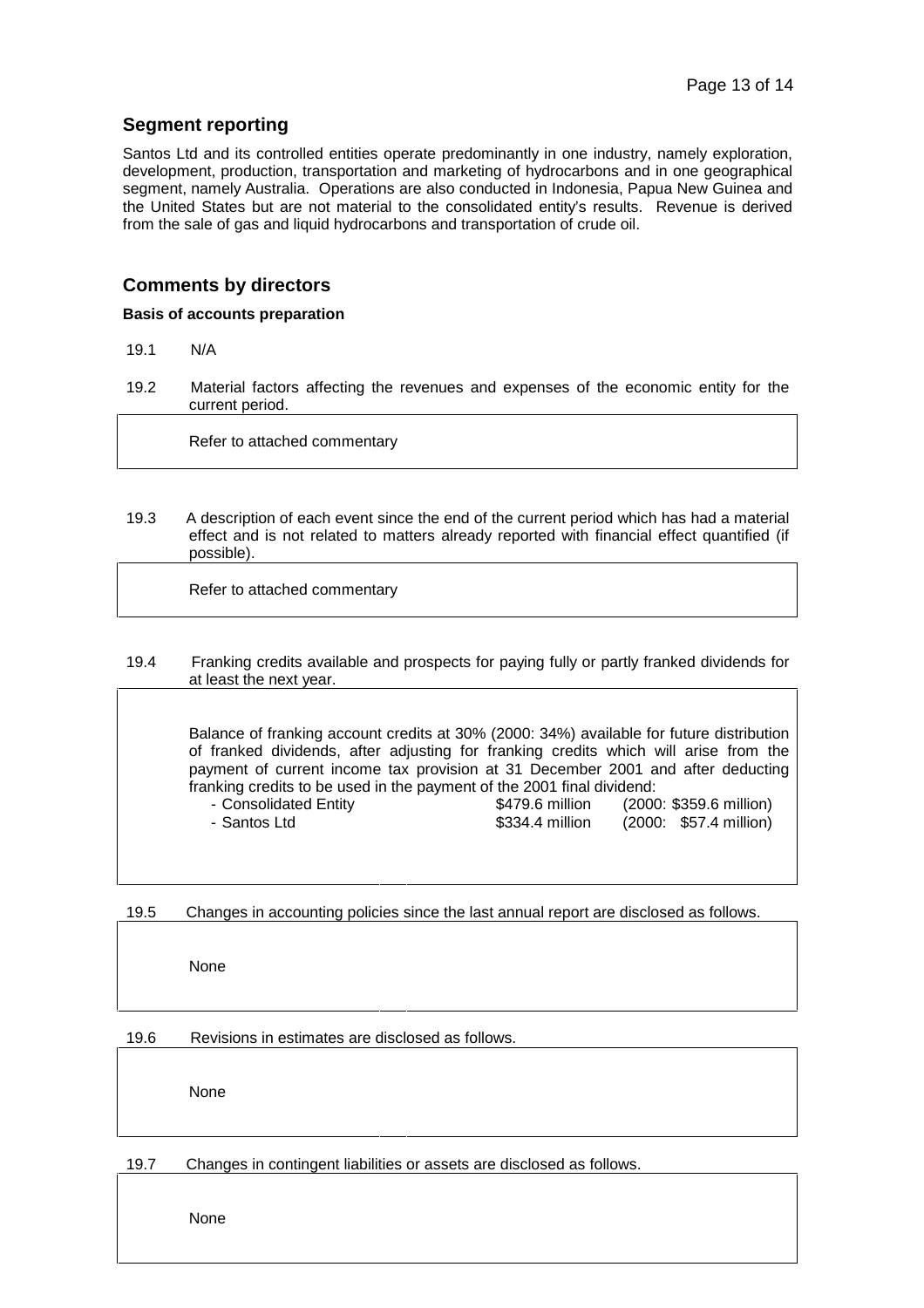#### **Segment reporting**

Santos Ltd and its controlled entities operate predominantly in one industry, namely exploration, development, production, transportation and marketing of hydrocarbons and in one geographical segment, namely Australia. Operations are also conducted in Indonesia, Papua New Guinea and the United States but are not material to the consolidated entity's results. Revenue is derived from the sale of gas and liquid hydrocarbons and transportation of crude oil.

#### **Comments by directors**

#### **Basis of accounts preparation**

- 19.1 N/A
- 19.2 Material factors affecting the revenues and expenses of the economic entity for the current period.

Refer to attached commentary

19.3 A description of each event since the end of the current period which has had a material effect and is not related to matters already reported with financial effect quantified (if possible).

Refer to attached commentary

#### 19.4 Franking credits available and prospects for paying fully or partly franked dividends for at least the next year.

Balance of franking account credits at 30% (2000: 34%) available for future distribution of franked dividends, after adjusting for franking credits which will arise from the payment of current income tax provision at 31 December 2001 and after deducting franking credits to be used in the payment of the 2001 final dividend:

| - Consolidated Entity | \$479.6 million | (2000: \$359.6 million) |
|-----------------------|-----------------|-------------------------|
| - Santos Ltd          | \$334.4 million | (2000: \$57.4 million)  |

19.5 Changes in accounting policies since the last annual report are disclosed as follows.

None

19.6 Revisions in estimates are disclosed as follows.

None

#### 19.7 Changes in contingent liabilities or assets are disclosed as follows.

None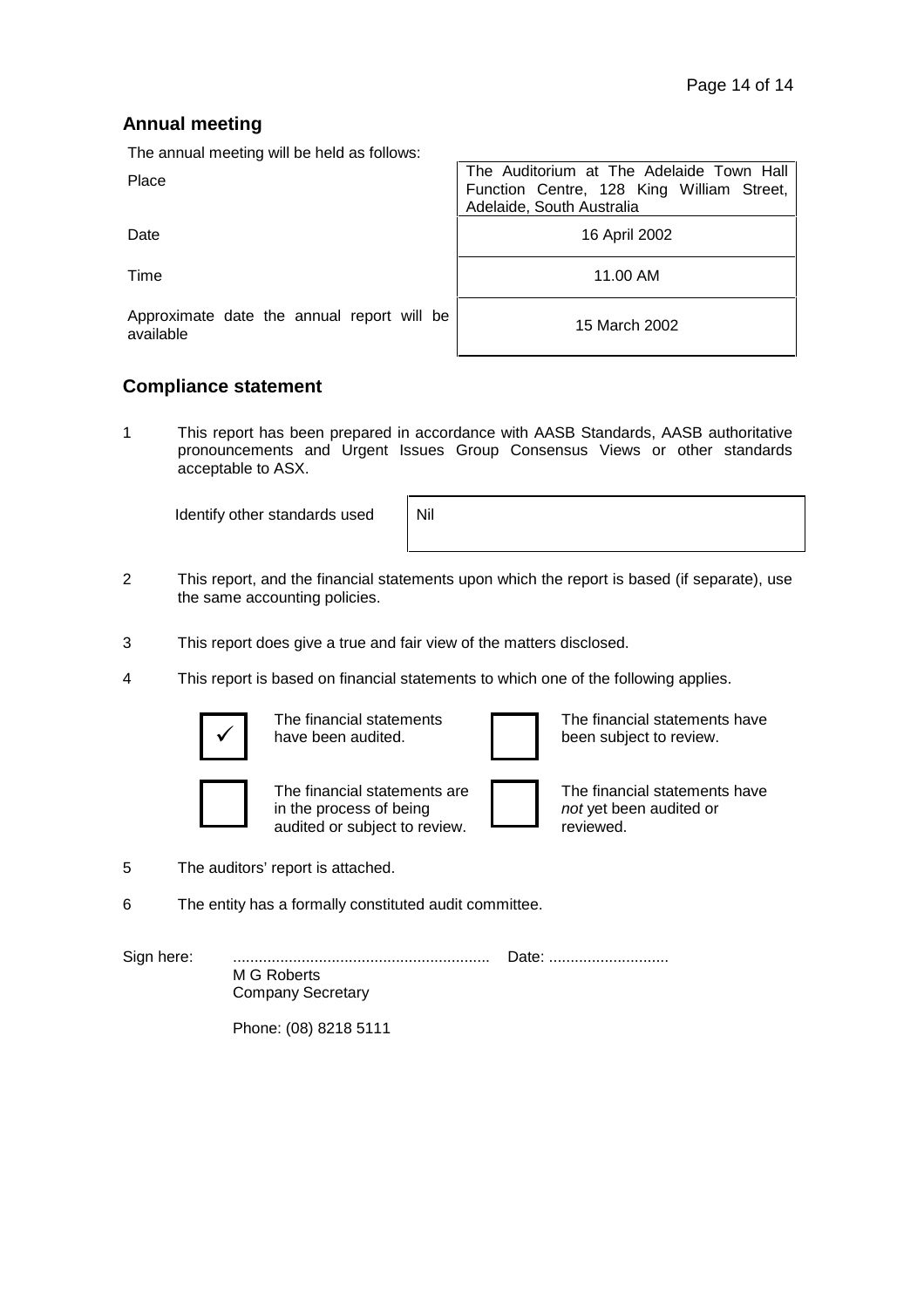### **Annual meeting**

The annual meeting will be held as follows:

Place The Auditorium at The Adelaide Town Hall Function Centre, 128 King William Street, Adelaide, South Australia

Date 16 April 2002

Time 11.00 AM

Approximate date the annual report will be

15 March 2002

### **Compliance statement**

1 This report has been prepared in accordance with AASB Standards, AASB authoritative pronouncements and Urgent Issues Group Consensus Views or other standards acceptable to ASX.

Identify other standards used

| $\mid$ Nil |  |  |  |
|------------|--|--|--|
|            |  |  |  |

- 2 This report, and the financial statements upon which the report is based (if separate), use the same accounting policies.
- 3 This report does give a true and fair view of the matters disclosed.
- 4 This report is based on financial statements to which one of the following applies.



The financial statements have been audited.



The financial statements have been subject to review.



The financial statements are in the process of being audited or subject to review.



The financial statements have *not* yet been audited or reviewed.

- 5 The auditors' report is attached.
- 6 The entity has a formally constituted audit committee.

Sign here: ............................................................ Date: ............................ M G Roberts Company Secretary

Phone: (08) 8218 5111